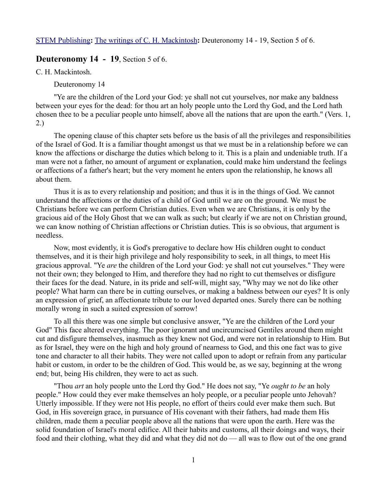[STEM Publishing](http://www.stempublishing.com/)**:** [The writings of C. H. Mackintosh](http://www.stempublishing.com/authors/mackintosh/index.html)**:** Deuteronomy 14 - 19, Section 5 of 6.

# **Deuteronomy 14 - 19, Section 5 of 6.**

C. H. Mackintosh.

Deuteronomy 14

"Ye are the children of the Lord your God: ye shall not cut yourselves, nor make any baldness between your eyes for the dead: for thou art an holy people unto the Lord thy God, and the Lord hath chosen thee to be a peculiar people unto himself, above all the nations that are upon the earth." (Vers. 1, 2.)

The opening clause of this chapter sets before us the basis of all the privileges and responsibilities of the Israel of God. It is a familiar thought amongst us that we must be in a relationship before we can know the affections or discharge the duties which belong to it. This is a plain and undeniable truth. If a man were not a father, no amount of argument or explanation, could make him understand the feelings or affections of a father's heart; but the very moment he enters upon the relationship, he knows all about them.

Thus it is as to every relationship and position; and thus it is in the things of God. We cannot understand the affections or the duties of a child of God until we are on the ground. We must be Christians before we can perform Christian duties. Even when we are Christians, it is only by the gracious aid of the Holy Ghost that we can walk as such; but clearly if we are not on Christian ground, we can know nothing of Christian affections or Christian duties. This is so obvious, that argument is needless.

Now, most evidently, it is God's prerogative to declare how His children ought to conduct themselves, and it is their high privilege and holy responsibility to seek, in all things, to meet His gracious approval. "Ye *are* the children of the Lord your God: ye shall not cut yourselves." They were not their own; they belonged to Him, and therefore they had no right to cut themselves or disfigure their faces for the dead. Nature, in its pride and self-will, might say, "Why may we not do like other people? What harm can there be in cutting ourselves, or making a baldness between our eyes? It is only an expression of grief, an affectionate tribute to our loved departed ones. Surely there can be nothing morally wrong in such a suited expression of sorrow!

To all this there was one simple but conclusive answer, "Ye are the children of the Lord your God" This face altered everything. The poor ignorant and uncircumcised Gentiles around them might cut and disfigure themselves, inasmuch as they knew not God, and were not in relationship to Him. But as for Israel, they were on the high and holy ground of nearness to God, and this one fact was to give tone and character to all their habits. They were not called upon to adopt or refrain from any particular habit or custom, in order to be the children of God. This would be, as we say, beginning at the wrong end; but, being His children, they were to act as such.

"Thou *art* an holy people unto the Lord thy God." He does not say, "Ye *ought to be* an holy people." How could they ever make themselves an holy people, or a peculiar people unto Jehovah? Utterly impossible. If they were not His people, no effort of theirs could ever make them such. But God, in His sovereign grace, in pursuance of His covenant with their fathers, had made them His children, made them a peculiar people above all the nations that were upon the earth. Here was the solid foundation of Israel's moral edifice. All their habits and customs, all their doings and ways, their food and their clothing, what they did and what they did not do — all was to flow out of the one grand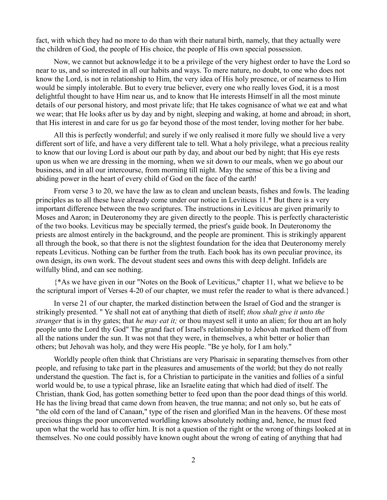fact, with which they had no more to do than with their natural birth, namely, that they actually were the children of God, the people of His choice, the people of His own special possession.

Now, we cannot but acknowledge it to be a privilege of the very highest order to have the Lord so near to us, and so interested in all our habits and ways. To mere nature, no doubt, to one who does not know the Lord, is not in relationship to Him, the very idea of His holy presence, or of nearness to Him would be simply intolerable. But to every true believer, every one who really loves God, it is a most delightful thought to have Him near us, and to know that He interests Himself in all the most minute details of our personal history, and most private life; that He takes cognisance of what we eat and what we wear; that He looks after us by day and by night, sleeping and waking, at home and abroad; in short, that His interest in and care for us go far beyond those of the most tender, loving mother for her babe.

All this is perfectly wonderful; and surely if we only realised it more fully we should live a very different sort of life, and have a very different tale to tell. What a holy privilege, what a precious reality to know that our loving Lord is about our path by day, and about our bed by night; that His eye rests upon us when we are dressing in the morning, when we sit down to our meals, when we go about our business, and in all our intercourse, from morning till night. May the sense of this be a living and abiding power in the heart of every child of God on the face of the earth!

From verse 3 to 20, we have the law as to clean and unclean beasts, fishes and fowls. The leading principles as to all these have already come under our notice in Leviticus 11.\* But there is a very important difference between the two scriptures. The instructions in Leviticus are given primarily to Moses and Aaron; in Deuteronomy they are given directly to the people. This is perfectly characteristic of the two books. Leviticus may be specially termed, the priest's guide book. In Deuteronomy the priests are almost entirely in the background, and the people are prominent. This is strikingly apparent all through the book, so that there is not the slightest foundation for the idea that Deuteronomy merely repeats Leviticus. Nothing can be further from the truth. Each book has its own peculiar province, its own design, its own work. The devout student sees and owns this with deep delight. Infidels are wilfully blind, and can see nothing.

{\*As we have given in our "Notes on the Book of Leviticus," chapter 11, what we believe to be the scriptural import of Verses 4-20 of our chapter, we must refer the reader to what is there advanced.}

In verse 21 of our chapter, the marked distinction between the Israel of God and the stranger is strikingly presented. " Ye shall not eat of anything that dieth of itself; *thou shalt give it unto the stranger* that is in thy gates; that *he may eat it;* or thou mayest sell it unto an alien; for thou art an holy people unto the Lord thy God" The grand fact of Israel's relationship to Jehovah marked them off from all the nations under the sun. It was not that they were, in themselves, a whit better or holier than others; but Jehovah was holy, and they were His people. "Be ye holy, for I am holy."

Worldly people often think that Christians are very Pharisaic in separating themselves from other people, and refusing to take part in the pleasures and amusements of the world; but they do not really understand the question. The fact is, for a Christian to participate in the vanities and follies of a sinful world would be, to use a typical phrase, like an Israelite eating that which had died of itself. The Christian, thank God, has gotten something better to feed upon than the poor dead things of this world. He has the living bread that came down from heaven, the true manna; and not only so, but he eats of "the old corn of the land of Canaan," type of the risen and glorified Man in the heavens. Of these most precious things the poor unconverted worldling knows absolutely nothing and, hence, he must feed upon what the world has to offer him. It is not a question of the right or the wrong of things looked at in themselves. No one could possibly have known ought about the wrong of eating of anything that had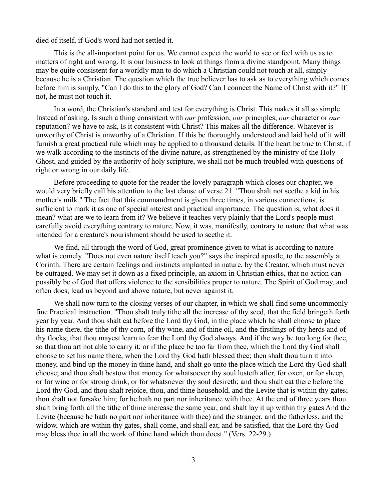died of itself, if God's word had not settled it.

This is the all-important point for us. We cannot expect the world to see or feel with us as to matters of right and wrong. It is our business to look at things from a divine standpoint. Many things may be quite consistent for a worldly man to do which a Christian could not touch at all, simply because he is a Christian. The question which the true believer has to ask as to everything which comes before him is simply, "Can I do this to the glory of God? Can I connect the Name of Christ with it?" If not, he must not touch it.

In a word, the Christian's standard and test for everything is Christ. This makes it all so simple. Instead of asking, Is such a thing consistent with *our* profession, *our* principles, *our* character or *our* reputation? we have to ask, Is it consistent with Christ? This makes all the difference. Whatever is unworthy of Christ is unworthy of a Christian. If this be thoroughly understood and laid hold of it will furnish a great practical rule which may be applied to a thousand details. If the heart be true to Christ, if we walk according to the instincts of the divine nature, as strengthened by the ministry of the Holy Ghost, and guided by the authority of holy scripture, we shall not be much troubled with questions of right or wrong in our daily life.

Before proceeding to quote for the reader the lovely paragraph which closes our chapter, we would very briefly call his attention to the last clause of verse 21. "Thou shalt not seethe a kid in his mother's milk." The fact that this commandment is given three times, in various connections, is sufficient to mark it as one of special interest and practical importance. The question is, what does it mean? what are we to learn from it? We believe it teaches very plainly that the Lord's people must carefully avoid everything contrary to nature. Now, it was, manifestly, contrary to nature that what was intended for a creature's nourishment should be used to seethe it.

We find, all through the word of God, great prominence given to what is according to nature what is comely. "Does not even nature itself teach you?" says the inspired apostle, to the assembly at Corinth. There are certain feelings and instincts implanted in nature, by the Creator, which must never be outraged. We may set it down as a fixed principle, an axiom in Christian ethics, that no action can possibly be of God that offers violence to the sensibilities proper to nature. The Spirit of God may, and often does, lead us beyond and above nature, but never against it.

We shall now turn to the closing verses of our chapter, in which we shall find some uncommonly fine Practical instruction. "Thou shalt truly tithe all the increase of thy seed, that the field bringeth forth year by year. And thou shalt eat before the Lord thy God, in the place which he shall choose to place his name there, the tithe of thy corn, of thy wine, and of thine oil, and the firstlings of thy herds and of thy flocks; that thou mayest learn to fear the Lord thy God always. And if the way be too long for thee, so that thou art not able to carry it; or if the place be too far from thee, which the Lord thy God shall choose to set his name there, when the Lord thy God hath blessed thee; then shalt thou turn it into money, and bind up the money in thine hand, and shalt go unto the place which the Lord thy God shall choose; and thou shalt bestow that money for whatsoever thy soul lusteth after, for oxen, or for sheep, or for wine or for strong drink, or for whatsoever thy soul desireth; and thou shalt eat there before the Lord thy God, and thou shalt rejoice, thou, and thine household, and the Levite that is within thy gates; thou shalt not forsake him; for he hath no part nor inheritance with thee. At the end of three years thou shalt bring forth all the tithe of thine increase the same year, and shalt lay it up within thy gates And the Levite (because he hath no part nor inheritance with thee) and the stranger, and the fatherless, and the widow, which are within thy gates, shall come, and shall eat, and be satisfied, that the Lord thy God may bless thee in all the work of thine hand which thou doest." (Vers. 22-29.)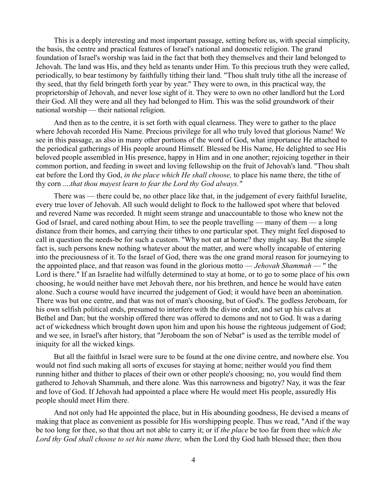This is a deeply interesting and most important passage, setting before us, with special simplicity, the basis, the centre and practical features of Israel's national and domestic religion. The grand foundation of Israel's worship was laid in the fact that both they themselves and their land belonged to Jehovah. The land was His, and they held as tenants under Him. To this precious truth they were called, periodically, to bear testimony by faithfully tithing their land. "Thou shalt truly tithe all the increase of thy seed, that thy field bringeth forth year by year." They were to own, in this practical way, the proprietorship of Jehovah, and never lose sight of it. They were to own no other landlord but the Lord their God. All they were and all they had belonged to Him. This was the solid groundwork of their national worship — their national religion.

And then as to the centre, it is set forth with equal clearness. They were to gather to the place where Jehovah recorded His Name. Precious privilege for all who truly loved that glorious Name! We see in this passage, as also in many other portions of the word of God, what importance He attached to the periodical gatherings of His people around Himself. Blessed be His Name, He delighted to see His beloved people assembled in His presence, happy in Him and in one another; rejoicing together in their common portion, and feeding in sweet and loving fellowship on the fruit of Jehovah's land. "Thou shalt eat before the Lord thy God, *in the place which He shall choose,* to place his name there, the tithe of thy corn ....*that thou mayest learn to fear the Lord thy God always."*

There was — there could be, no other place like that, in the judgement of every faithful Israelite, every true lover of Jehovah. All such would delight to flock to the hallowed spot where that beloved and revered Name was recorded. It might seem strange and unaccountable to those who knew not the God of Israel, and cared nothing about Him, to see the people travelling — many of them — a long distance from their homes, and carrying their tithes to one particular spot. They might feel disposed to call in question the needs-be for such a custom. "Why not eat at home? they might say. But the simple fact is, such persons knew nothing whatever about the matter, and were wholly incapable of entering into the preciousness of it. To the Israel of God, there was the one grand moral reason for journeying to the appointed place, and that reason was found in the glorious motto — *Jehovah Shammah* — " the Lord is there." If an Israelite had wilfully determined to stay at home, or to go to some place of his own choosing, he would neither have met Jehovah there, nor his brethren, and hence he would have eaten alone. Such a course would have incurred the judgement of God; it would have been an abomination. There was but one centre, and that was not of man's choosing, but of God's. The godless Jeroboam, for his own selfish political ends, presumed to interfere with the divine order, and set up his calves at Bethel and Dan; but the worship offered there was offered to demons and not to God. It was a daring act of wickedness which brought down upon him and upon his house the righteous judgement of God; and we see, in Israel's after history, that "Jeroboam the son of Nebat" is used as the terrible model of iniquity for all the wicked kings.

But all the faithful in Israel were sure to be found at the one divine centre, and nowhere else. You would not find such making all sorts of excuses for staying at home; neither would you find them running hither and thither to places of their own or other people's choosing; no, you would find them gathered to Jehovah Shammah, and there alone. Was this narrowness and bigotry? Nay, it was the fear and love of God. If Jehovah had appointed a place where He would meet His people, assuredly His people should meet Him there.

And not only had He appointed the place, but in His abounding goodness, He devised a means of making that place as convenient as possible for His worshipping people. Thus we read, "And if the way be too long for thee, so that thou art not able to carry it; or if *the place* be too far from thee *which the Lord thy God shall choose to set his name there,* when the Lord thy God hath blessed thee; then thou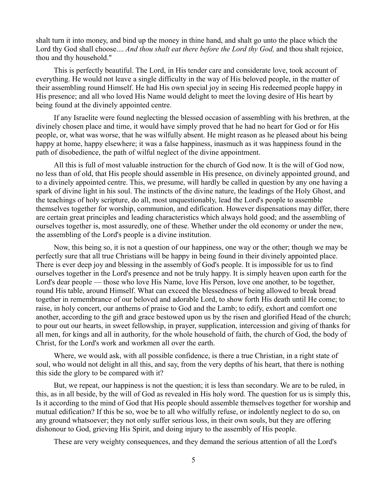shalt turn it into money, and bind up the money in thine hand, and shalt go unto the place which the Lord thy God shall choose.... *And thou shalt eat there before the Lord thy God,* and thou shalt rejoice, thou and thy household."

This is perfectly beautiful. The Lord, in His tender care and considerate love, took account of everything. He would not leave a single difficulty in the way of His beloved people, in the matter of their assembling round Himself. He had His own special joy in seeing His redeemed people happy in His presence; and all who loved His Name would delight to meet the loving desire of His heart by being found at the divinely appointed centre.

If any Israelite were found neglecting the blessed occasion of assembling with his brethren, at the divinely chosen place and time, it would have simply proved that he had no heart for God or for His people, or, what was worse, that he was wilfully absent. He might reason as he pleased about his being happy at home, happy elsewhere; it was a false happiness, inasmuch as it was happiness found in the path of disobedience, the path of wilful neglect of the divine appointment.

All this is full of most valuable instruction for the church of God now. It is the will of God now, no less than of old, that His people should assemble in His presence, on divinely appointed ground, and to a divinely appointed centre. This, we presume, will hardly be called in question by any one having a spark of divine light in his soul. The instincts of the divine nature, the leadings of the Holy Ghost, and the teachings of holy scripture, do all, most unquestionably, lead the Lord's people to assemble themselves together for worship, communion, and edification. However dispensations may differ, there are certain great principles and leading characteristics which always hold good; and the assembling of ourselves together is, most assuredly, one of these. Whether under the old economy or under the new, the assembling of the Lord's people is a divine institution.

Now, this being so, it is not a question of our happiness, one way or the other; though we may be perfectly sure that all true Christians will be happy in being found in their divinely appointed place. There is ever deep joy and blessing in the assembly of God's people. It is impossible for us to find ourselves together in the Lord's presence and not be truly happy. It is simply heaven upon earth for the Lord's dear people — those who love His Name, love His Person, love one another, to be together, round His table, around Himself. What can exceed the blessedness of being allowed to break bread together in remembrance of our beloved and adorable Lord, to show forth His death until He come; to raise, in holy concert, our anthems of praise to God and the Lamb; to edify, exhort and comfort one another, according to the gift and grace bestowed upon us by the risen and glorified Head of the church; to pour out our hearts, in sweet fellowship, in prayer, supplication, intercession and giving of thanks for all men, for kings and all in authority, for the whole household of faith, the church of God, the body of Christ, for the Lord's work and workmen all over the earth.

Where, we would ask, with all possible confidence, is there a true Christian, in a right state of soul, who would not delight in all this, and say, from the very depths of his heart, that there is nothing this side the glory to be compared with it?

But, we repeat, our happiness is not the question; it is less than secondary. We are to be ruled, in this, as in all beside, by the will of God as revealed in His holy word. The question for us is simply this, Is it according to the mind of God that His people should assemble themselves together for worship and mutual edification? If this be so, woe be to all who wilfully refuse, or indolently neglect to do so, on any ground whatsoever; they not only suffer serious loss, in their own souls, but they are offering dishonour to God, grieving His Spirit, and doing injury to the assembly of His people.

These are very weighty consequences, and they demand the serious attention of all the Lord's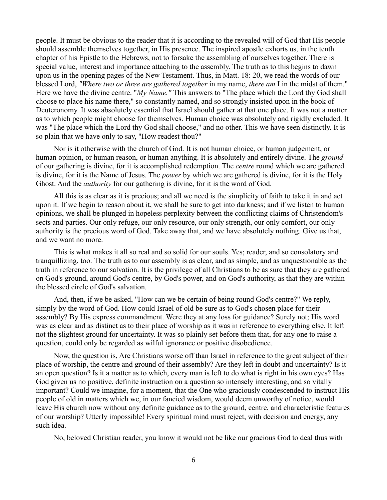people. It must be obvious to the reader that it is according to the revealed will of God that His people should assemble themselves together, in His presence. The inspired apostle exhorts us, in the tenth chapter of his Epistle to the Hebrews, not to forsake the assembling of ourselves together. There is special value, interest and importance attaching to the assembly. The truth as to this begins to dawn upon us in the opening pages of the New Testament. Thus, in Matt. 18: 20, we read the words of our blessed Lord, *"Where two or three are gathered together* in my name, *there am* I in the midst of them." Here we have the divine centre. "*My Name."* This answers to "The place which the Lord thy God shall choose to place his name there," so constantly named, and so strongly insisted upon in the book of Deuteronomy. It was absolutely essential that Israel should gather at that one place. It was not a matter as to which people might choose for themselves. Human choice was absolutely and rigidly excluded. It was "The place which the Lord thy God shall choose," and no other. This we have seen distinctly. It is so plain that we have only to say, "How readest thou?"

Nor is it otherwise with the church of God. It is not human choice, or human judgement, or human opinion, or human reason, or human anything. It is absolutely and entirely divine. The *ground* of our gathering is divine, for it is accomplished redemption. The *centre* round which we are gathered is divine, for it is the Name of Jesus. The *power* by which we are gathered is divine, for it is the Holy Ghost. And the *authority* for our gathering is divine, for it is the word of God.

All this is as clear as it is precious; and all we need is the simplicity of faith to take it in and act upon it. If we begin to reason about it, we shall be sure to get into darkness; and if we listen to human opinions, we shall be plunged in hopeless perplexity between the conflicting claims of Christendom's sects and parties. Our only refuge, our only resource, our only strength, our only comfort, our only authority is the precious word of God. Take away that, and we have absolutely nothing. Give us that, and we want no more.

This is what makes it all so real and so solid for our souls. Yes; reader, and so consolatory and tranquillizing, too. The truth as to our assembly is as clear, and as simple, and as unquestionable as the truth in reference to our salvation. It is the privilege of all Christians to be as sure that they are gathered on God's ground, around God's centre, by God's power, and on God's authority, as that they are within the blessed circle of God's salvation.

And, then, if we be asked, "How can we be certain of being round God's centre?" We reply, simply by the word of God. How could Israel of old be sure as to God's chosen place for their assembly? By His express commandment. Were they at any loss for guidance? Surely not; His word was as clear and as distinct as to their place of worship as it was in reference to everything else. It left not the slightest ground for uncertainty. It was so plainly set before them that, for any one to raise a question, could only be regarded as wilful ignorance or positive disobedience.

Now, the question is, Are Christians worse off than Israel in reference to the great subject of their place of worship, the centre and ground of their assembly? Are they left in doubt and uncertainty? Is it an open question? Is it a matter as to which, every man is left to do what is right in his own eyes? Has God given us no positive, definite instruction on a question so intensely interesting, and so vitally important? Could we imagine, for a moment, that the One who graciously condescended to instruct His people of old in matters which we, in our fancied wisdom, would deem unworthy of notice, would leave His church now without any definite guidance as to the ground, centre, and characteristic features of our worship? Utterly impossible! Every spiritual mind must reject, with decision and energy, any such idea.

No, beloved Christian reader, you know it would not be like our gracious God to deal thus with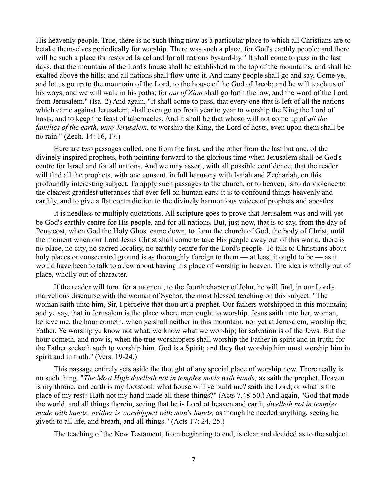His heavenly people. True, there is no such thing now as a particular place to which all Christians are to betake themselves periodically for worship. There was such a place, for God's earthly people; and there will be such a place for restored Israel and for all nations by-and-by. "It shall come to pass in the last days, that the mountain of the Lord's house shall be established m the top of the mountains, and shall be exalted above the hills; and all nations shall flow unto it. And many people shall go and say, Come ye, and let us go up to the mountain of the Lord, to the house of the God of Jacob; and he will teach us of his ways, and we will walk in his paths; for *out of Zion* shall go forth the law, and the word of the Lord from Jerusalem." (Isa. 2) And again, "It shall come to pass, that every one that is left of all the nations which came against Jerusalem, shall even go up from year to year to worship the King the Lord of hosts, and to keep the feast of tabernacles. And it shall be that whoso will not come up of *all the families of the earth, unto Jerusalem,* to worship the King, the Lord of hosts, even upon them shall be no rain." (Zech. 14: 16, 17.)

Here are two passages culled, one from the first, and the other from the last but one, of the divinely inspired prophets, both pointing forward to the glorious time when Jerusalem shall be God's centre for Israel and for all nations. And we may assert, with all possible confidence, that the reader will find all the prophets, with one consent, in full harmony with Isaiah and Zechariah, on this profoundly interesting subject. To apply such passages to the church, or to heaven, is to do violence to the clearest grandest utterances that ever fell on human ears; it is to confound things heavenly and earthly, and to give a flat contradiction to the divinely harmonious voices of prophets and apostles.

It is needless to multiply quotations. All scripture goes to prove that Jerusalem was and will yet be God's earthly centre for His people, and for all nations. But, just now, that is to say, from the day of Pentecost, when God the Holy Ghost came down, to form the church of God, the body of Christ, until the moment when our Lord Jesus Christ shall come to take His people away out of this world, there is no place, no city, no sacred locality, no earthly centre for the Lord's people. To talk to Christians about holy places or consecrated ground is as thoroughly foreign to them — at least it ought to be — as it would have been to talk to a Jew about having his place of worship in heaven. The idea is wholly out of place, wholly out of character.

If the reader will turn, for a moment, to the fourth chapter of John, he will find, in our Lord's marvellous discourse with the woman of Sychar, the most blessed teaching on this subject. "The woman saith unto him, Sir, I perceive that thou art a prophet. Our fathers worshipped in this mountain; and ye say, that in Jerusalem is the place where men ought to worship. Jesus saith unto her, woman, believe me, the hour cometh, when ye shall neither in this mountain, nor yet at Jerusalem, worship the Father. Ye worship ye know not what; we know what we worship; for salvation is of the Jews. But the hour cometh, and now is, when the true worshippers shall worship the Father in spirit and in truth; for the Father seeketh such to worship him. God is a Spirit; and they that worship him must worship him in spirit and in truth." (Vers. 19-24.)

This passage entirely sets aside the thought of any special place of worship now. There really is no such thing. "*The Most High dwelleth not in temples made with hands;* as saith the prophet, Heaven is my throne, and earth is my footstool: what house will ye build me? saith the Lord; or what is the place of my rest? Hath not my hand made all these things?" (Acts 7.48-50.) And again, "God that made the world, and all things therein, seeing that he is Lord of heaven and earth, *dwelleth not in temples made with hands; neither is worshipped with man's hands,* as though he needed anything, seeing he giveth to all life, and breath, and all things." (Acts 17: 24, 25.)

The teaching of the New Testament, from beginning to end, is clear and decided as to the subject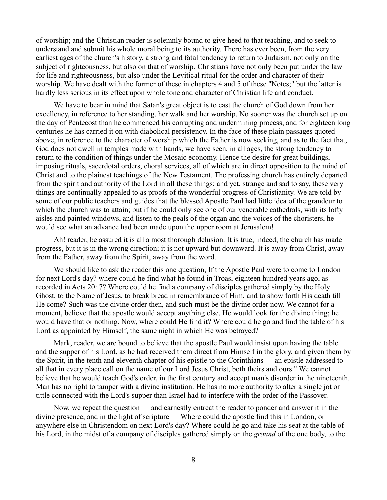of worship; and the Christian reader is solemnly bound to give heed to that teaching, and to seek to understand and submit his whole moral being to its authority. There has ever been, from the very earliest ages of the church's history, a strong and fatal tendency to return to Judaism, not only on the subject of righteousness, but also on that of worship. Christians have not only been put under the law for life and righteousness, but also under the Levitical ritual for the order and character of their worship. We have dealt with the former of these in chapters 4 and 5 of these "Notes;" but the latter is hardly less serious in its effect upon whole tone and character of Christian life and conduct.

We have to bear in mind that Satan's great object is to cast the church of God down from her excellency, in reference to her standing, her walk and her worship. No sooner was the church set up on the day of Pentecost than he commenced his corrupting and undermining process, and for eighteen long centuries he has carried it on with diabolical persistency. In the face of these plain passages quoted above, in reference to the character of worship which the Father is now seeking, and as to the fact that, God does not dwell in temples made with hands, we have seen, in all ages, the strong tendency to return to the condition of things under the Mosaic economy. Hence the desire for great buildings, imposing rituals, sacerdotal orders, choral services, all of which are in direct opposition to the mind of Christ and to the plainest teachings of the New Testament. The professing church has entirely departed from the spirit and authority of the Lord in all these things; and yet, strange and sad to say, these very things are continually appealed to as proofs of the wonderful progress of Christianity. We are told by some of our public teachers and guides that the blessed Apostle Paul had little idea of the grandeur to which the church was to attain; but if he could only see one of our venerable cathedrals, with its lofty aisles and painted windows, and listen to the peals of the organ and the voices of the choristers, he would see what an advance had been made upon the upper room at Jerusalem!

Ah! reader, be assured it is all a most thorough delusion. It is true, indeed, the church has made progress, but it is in the wrong direction; it is not upward but downward. It is away from Christ, away from the Father, away from the Spirit, away from the word.

We should like to ask the reader this one question, If the Apostle Paul were to come to London for next Lord's day? where could he find what he found in Troas, eighteen hundred years ago, as recorded in Acts 20: 7? Where could he find a company of disciples gathered simply by the Holy Ghost, to the Name of Jesus, to break bread in remembrance of Him, and to show forth His death till He come? Such was the divine order then, and such must be the divine order now. We cannot for a moment, believe that the apostle would accept anything else. He would look for the divine thing; he would have that or nothing. Now, where could He find it? Where could he go and find the table of his Lord as appointed by Himself, the same night in which He was betrayed?

Mark, reader, we are bound to believe that the apostle Paul would insist upon having the table and the supper of his Lord, as he had received them direct from Himself in the glory, and given them by the Spirit, in the tenth and eleventh chapter of his epistle to the Corinthians — an epistle addressed to all that in every place call on the name of our Lord Jesus Christ, both theirs and ours." We cannot believe that he would teach God's order, in the first century and accept man's disorder in the nineteenth. Man has no right to tamper with a divine institution. He has no more authority to alter a single jot or tittle connected with the Lord's supper than Israel had to interfere with the order of the Passover.

Now, we repeat the question — and earnestly entreat the reader to ponder and answer it in the divine presence, and in the light of scripture — Where could the apostle find this in London, or anywhere else in Christendom on next Lord's day? Where could he go and take his seat at the table of his Lord, in the midst of a company of disciples gathered simply on the *ground* of the one body, to the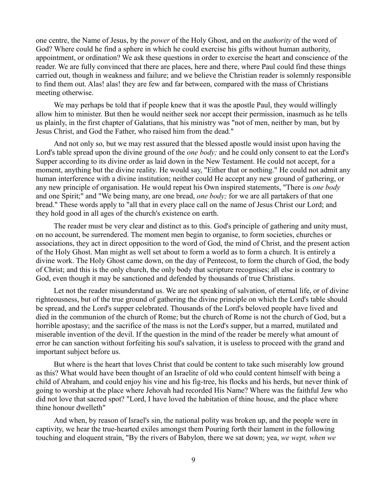one centre, the Name of Jesus, by the *power* of the Holy Ghost, and on the *authority* of the word of God? Where could he find a sphere in which he could exercise his gifts without human authority, appointment, or ordination? We ask these questions in order to exercise the heart and conscience of the reader. We are fully convinced that there are places, here and there, where Paul could find these things carried out, though in weakness and failure; and we believe the Christian reader is solemnly responsible to find them out. Alas! alas! they are few and far between, compared with the mass of Christians meeting otherwise.

We may perhaps be told that if people knew that it was the apostle Paul, they would willingly allow him to minister. But then he would neither seek nor accept their permission, inasmuch as he tells us plainly, in the first chapter of Galatians, that his ministry was "not of men, neither by man, but by Jesus Christ, and God the Father, who raised him from the dead."

And not only so, but we may rest assured that the blessed apostle would insist upon having the Lord's table spread upon the divine ground of the *one body;* and he could only consent to eat the Lord's Supper according to its divine order as laid down in the New Testament. He could not accept, for a moment, anything but the divine reality. He would say, "Either that or nothing." He could not admit any human interference with a divine institution; neither could He accept any new ground of gathering, or any new principle of organisation. He would repeat his Own inspired statements, "There is *one body* and one Spirit;" and "We being many, are one bread, *one body;* for we are all partakers of that one bread." These words apply to "all that in every place call on the name of Jesus Christ our Lord; and they hold good in all ages of the church's existence on earth.

The reader must be very clear and distinct as to this. God's principle of gathering and unity must, on no account, be surrendered. The moment men begin to organise, to form societies, churches or associations, they act in direct opposition to the word of God, the mind of Christ, and the present action of the Holy Ghost. Man might as well set about to form a world as to form a church. It is entirely a divine work. The Holy Ghost came down, on the day of Pentecost, to form the church of God, the body of Christ; and this is the only church, the only body that scripture recognises; all else is contrary to God, even though it may be sanctioned and defended by thousands of true Christians.

Let not the reader misunderstand us. We are not speaking of salvation, of eternal life, or of divine righteousness, but of the true ground of gathering the divine principle on which the Lord's table should be spread, and the Lord's supper celebrated. Thousands of the Lord's beloved people have lived and died in the communion of the church of Rome; but the church of Rome is not the church of God, but a horrible apostasy; and the sacrifice of the mass is not the Lord's supper, but a marred, mutilated and miserable invention of the devil. If the question in the mind of the reader be merely what amount of error he can sanction without forfeiting his soul's salvation, it is useless to proceed with the grand and important subject before us.

But where is the heart that loves Christ that could be content to take such miserably low ground as this? What would have been thought of an Israelite of old who could content himself with being a child of Abraham, and could enjoy his vine and his fig-tree, his flocks and his herds, but never think of going to worship at the place where Jehovah had recorded His Name? Where was the faithful Jew who did not love that sacred spot? "Lord, I have loved the habitation of thine house, and the place where thine honour dwelleth"

And when, by reason of Israel's sin, the national polity was broken up, and the people were in captivity, we hear the true-hearted exiles amongst them Pouring forth their lament in the following touching and eloquent strain, "By the rivers of Babylon, there we sat down; yea, *we wept, when we*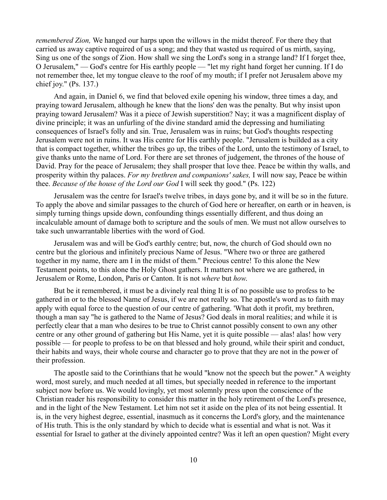*remembered Zion,* We hanged our harps upon the willows in the midst thereof. For there they that carried us away captive required of us a song; and they that wasted us required of us mirth, saying, Sing us one of the songs of Zion. How shall we sing the Lord's song in a strange land? If I forget thee, O Jerusalem," — God's centre for His earthly people — "let my right hand forget her cunning. If I do not remember thee, let my tongue cleave to the roof of my mouth; if I prefer not Jerusalem above my chief joy." (Ps. 137.)

And again, in Daniel 6, we find that beloved exile opening his window, three times a day, and praying toward Jerusalem, although he knew that the lions' den was the penalty. But why insist upon praying toward Jerusalem? Was it a piece of Jewish superstition? Nay; it was a magnificent display of divine principle; it was an unfurling of the divine standard amid the depressing and humiliating consequences of Israel's folly and sin. True, Jerusalem was in ruins; but God's thoughts respecting Jerusalem were not in ruins. It was His centre for His earthly people. "Jerusalem is builded as a city that is compact together, whither the tribes go up, the tribes of the Lord, unto the testimony of Israel, to give thanks unto the name of Lord. For there are set thrones of judgement, the thrones of the house of David. Pray for the peace of Jerusalem; they shall prosper that love thee. Peace be within thy walls, and prosperity within thy palaces. *For my brethren and companions' sakes,* I will now say, Peace be within thee. *Because of the house of the Lord our God* I will seek thy good." (Ps. 122)

Jerusalem was the centre for Israel's twelve tribes, in days gone by, and it will be so in the future. To apply the above and similar passages to the church of God here or hereafter, on earth or in heaven, is simply turning things upside down, confounding things essentially different, and thus doing an incalculable amount of damage both to scripture and the souls of men. We must not allow ourselves to take such unwarrantable liberties with the word of God.

Jerusalem was and will be God's earthly centre; but, now, the church of God should own no centre but the glorious and infinitely precious Name of Jesus. "Where two or three are gathered together in my name, there am I in the midst of them." Precious centre! To this alone the New Testament points, to this alone the Holy Ghost gathers. It matters not where we are gathered, in Jerusalem or Rome, London, Paris or Canton. It is not *where* but *how*.

But be it remembered, it must be a divinely real thing It is of no possible use to profess to be gathered in or to the blessed Name of Jesus, if we are not really so. The apostle's word as to faith may apply with equal force to the question of our centre of gathering. 'What doth it profit, my brethren, though a man say "he is gathered to the Name of Jesus? God deals in moral realities; and while it is perfectly clear that a man who desires to be true to Christ cannot possibly consent to own any other centre or any other ground of gathering but His Name, yet it is quite possible — alas! alas! how very possible — for people to profess to be on that blessed and holy ground, while their spirit and conduct, their habits and ways, their whole course and character go to prove that they are not in the power of their profession.

The apostle said to the Corinthians that he would "know not the speech but the power." A weighty word, most surely, and much needed at all times, but specially needed in reference to the important subject now before us. We would lovingly, yet most solemnly press upon the conscience of the Christian reader his responsibility to consider this matter in the holy retirement of the Lord's presence, and in the light of the New Testament. Let him not set it aside on the plea of its not being essential. It is, in the very highest degree, essential, inasmuch as it concerns the Lord's glory, and the maintenance of His truth. This is the only standard by which to decide what is essential and what is not. Was it essential for Israel to gather at the divinely appointed centre? Was it left an open question? Might every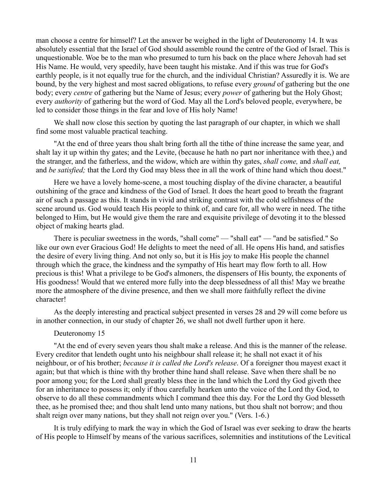man choose a centre for himself? Let the answer be weighed in the light of Deuteronomy 14. It was absolutely essential that the Israel of God should assemble round the centre of the God of Israel. This is unquestionable. Woe be to the man who presumed to turn his back on the place where Jehovah had set His Name. He would, very speedily, have been taught his mistake. And if this was true for God's earthly people, is it not equally true for the church, and the individual Christian? Assuredly it is. We are bound, by the very highest and most sacred obligations, to refuse every *ground* of gathering but the one body; every *centre* of gathering but the Name of Jesus; every *power* of gathering but the Holy Ghost; every *authority* of gathering but the word of God. May all the Lord's beloved people, everywhere, be led to consider those things in the fear and love of His holy Name!

We shall now close this section by quoting the last paragraph of our chapter, in which we shall find some most valuable practical teaching.

"At the end of three years thou shalt bring forth all the tithe of thine increase the same year, and shalt lay it up within thy gates; and the Levite, (because he hath no part nor inheritance with thee,) and the stranger, and the fatherless, and the widow, which are within thy gates, *shall come,* and *shall eat,* and *be satisfied;* that the Lord thy God may bless thee in all the work of thine hand which thou doest."

Here we have a lovely home-scene, a most touching display of the divine character, a beautiful outshining of the grace and kindness of the God of Israel. It does the heart good to breath the fragrant air of such a passage as this. It stands in vivid and striking contrast with the cold selfishness of the scene around us. God would teach His people to think of, and care for, all who were in need. The tithe belonged to Him, but He would give them the rare and exquisite privilege of devoting it to the blessed object of making hearts glad.

There is peculiar sweetness in the words, "shall come" — "shall eat" — "and be satisfied." So like our own ever Gracious God! He delights to meet the need of all. He opens His hand, and satisfies the desire of every living thing. And not only so, but it is His joy to make His people the channel through which the grace, the kindness and the sympathy of His heart may flow forth to all. How precious is this! What a privilege to be God's almoners, the dispensers of His bounty, the exponents of His goodness! Would that we entered more fully into the deep blessedness of all this! May we breathe more the atmosphere of the divine presence, and then we shall more faithfully reflect the divine character!

As the deeply interesting and practical subject presented in verses 28 and 29 will come before us in another connection, in our study of chapter 26, we shall not dwell further upon it here.

## Deuteronomy 15

"At the end of every seven years thou shalt make a release. And this is the manner of the release. Every creditor that lendeth ought unto his neighbour shall release it; he shall not exact it of his neighbour, or of his brother; *because it is called the Lord's release*. Of a foreigner thou mayest exact it again; but that which is thine with thy brother thine hand shall release. Save when there shall be no poor among you; for the Lord shall greatly bless thee in the land which the Lord thy God giveth thee for an inheritance to possess it; only if thou carefully hearken unto the voice of the Lord thy God, to observe to do all these commandments which I command thee this day. For the Lord thy God blesseth thee, as he promised thee; and thou shalt lend unto many nations, but thou shalt not borrow; and thou shalt reign over many nations, but they shall not reign over you." (Vers. 1-6.)

It is truly edifying to mark the way in which the God of Israel was ever seeking to draw the hearts of His people to Himself by means of the various sacrifices, solemnities and institutions of the Levitical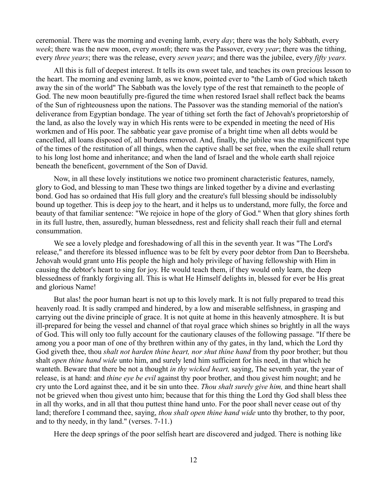ceremonial. There was the morning and evening lamb, every *day*; there was the holy Sabbath, every *week*; there was the new moon, every *month*; there was the Passover, every *year*; there was the tithing, every *three years*; there was the release, every *seven years*; and there was the jubilee, every *fifty years.*

All this is full of deepest interest. It tells its own sweet tale, and teaches its own precious lesson to the heart. The morning and evening lamb, as we know, pointed ever to "the Lamb of God which taketh away the sin of the world" The Sabbath was the lovely type of the rest that remaineth to the people of God. The new moon beautifully pre-figured the time when restored Israel shall reflect back the beams of the Sun of righteousness upon the nations. The Passover was the standing memorial of the nation's deliverance from Egyptian bondage. The year of tithing set forth the fact of Jehovah's proprietorship of the land, as also the lovely way in which His rents were to be expended in meeting the need of His workmen and of His poor. The sabbatic year gave promise of a bright time when all debts would be cancelled, all loans disposed of, all burdens removed. And, finally, the jubilee was the magnificent type of the times of the restitution of all things, when the captive shall be set free, when the exile shall return to his long lost home and inheritance; and when the land of Israel and the whole earth shall rejoice beneath the beneficent, government of the Son of David.

Now, in all these lovely institutions we notice two prominent characteristic features, namely, glory to God, and blessing to man These two things are linked together by a divine and everlasting bond. God has so ordained that His full glory and the creature's full blessing should be indissolubly bound up together. This is deep joy to the heart, and it helps us to understand, more fully, the force and beauty of that familiar sentence: "We rejoice in hope of the glory of God." When that glory shines forth in its full lustre, then, assuredly, human blessedness, rest and felicity shall reach their full and eternal consummation.

We see a lovely pledge and foreshadowing of all this in the seventh year. It was "The Lord's release," and therefore its blessed influence was to be felt by every poor debtor from Dan to Beersheba. Jehovah would grant unto His people the high and holy privilege of having fellowship with Him in causing the debtor's heart to sing for joy. He would teach them, if they would only learn, the deep blessedness of frankly forgiving all. This is what He Himself delights in, blessed for ever be His great and glorious Name!

But alas! the poor human heart is not up to this lovely mark. It is not fully prepared to tread this heavenly road. It is sadly cramped and hindered, by a low and miserable selfishness, in grasping and carrying out the divine principle of grace. It is not quite at home in this heavenly atmosphere. It is but ill-prepared for being the vessel and channel of that royal grace which shines so brightly in all the ways of God. This will only too fully account for the cautionary clauses of the following passage. "If there be among you a poor man of one of thy brethren within any of thy gates, in thy land, which the Lord thy God giveth thee, thou *shalt not harden thine heart, nor shut thine hand* from thy poor brother; but thou shalt *open thine hand wide* unto him, and surely lend him sufficient for his need, in that which he wanteth. Beware that there be not a thought *in thy wicked heart,* saying, The seventh year, the year of release, is at hand: and *thine eye be evil* against thy poor brother, and thou givest him nought; and he cry unto the Lord against thee, and it be sin unto thee. *Thou shalt surely give him,* and thine heart shall not be grieved when thou givest unto him; because that for this thing the Lord thy God shall bless thee in all thy works, and in all that thou puttest thine hand unto. For the poor shall never cease out of thy land; therefore I command thee, saying, *thou shalt open thine hand wide* unto thy brother, to thy poor, and to thy needy, in thy land." (verses. 7-11.)

Here the deep springs of the poor selfish heart are discovered and judged. There is nothing like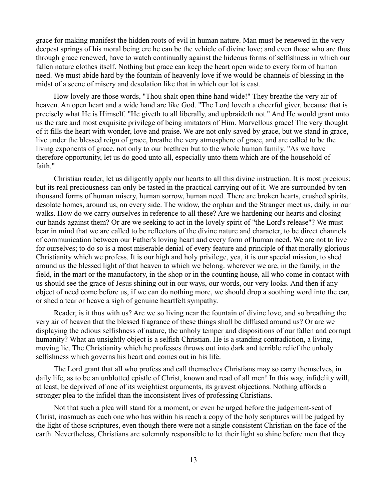grace for making manifest the hidden roots of evil in human nature. Man must be renewed in the very deepest springs of his moral being ere he can be the vehicle of divine love; and even those who are thus through grace renewed, have to watch continually against the hideous forms of selfishness in which our fallen nature clothes itself. Nothing but grace can keep the heart open wide to every form of human need. We must abide hard by the fountain of heavenly love if we would be channels of blessing in the midst of a scene of misery and desolation like that in which our lot is cast.

How lovely are those words, "Thou shalt open thine hand wide!" They breathe the very air of heaven. An open heart and a wide hand are like God. "The Lord loveth a cheerful giver. because that is precisely what He is Himself. "He giveth to all liberally, and upbraideth not." And He would grant unto us the rare and most exquisite privilege of being imitators of Him. Marvellous grace! The very thought of it fills the heart with wonder, love and praise. We are not only saved by grace, but we stand in grace, live under the blessed reign of grace, breathe the very atmosphere of grace, and are called to be the living exponents of grace, not only to our brethren but to the whole human family. "As we have therefore opportunity, let us do good unto all, especially unto them which are of the household of faith."

Christian reader, let us diligently apply our hearts to all this divine instruction. It is most precious; but its real preciousness can only be tasted in the practical carrying out of it. We are surrounded by ten thousand forms of human misery, human sorrow, human need. There are broken hearts, crushed spirits, desolate homes, around us, on every side. The widow, the orphan and the Stranger meet us, daily, in our walks. How do we carry ourselves in reference to all these? Are we hardening our hearts and closing our hands against them? Or are we seeking to act in the lovely spirit of "the Lord's release"? We must bear in mind that we are called to be reflectors of the divine nature and character, to be direct channels of communication between our Father's loving heart and every form of human need. We are not to live for ourselves; to do so is a most miserable denial of every feature and principle of that morally glorious Christianity which we profess. It is our high and holy privilege, yea, it is our special mission, to shed around us the blessed light of that heaven to which we belong. wherever we are, in the family, in the field, in the mart or the manufactory, in the shop or in the counting house, all who come in contact with us should see the grace of Jesus shining out in our ways, our words, our very looks. And then if any object of need come before us, if we can do nothing more, we should drop a soothing word into the ear, or shed a tear or heave a sigh of genuine heartfelt sympathy.

Reader, is it thus with us? Are we so living near the fountain of divine love, and so breathing the very air of heaven that the blessed fragrance of these things shall be diffused around us? Or are we displaying the odious selfishness of nature, the unholy temper and dispositions of our fallen and corrupt humanity? What an unsightly object is a selfish Christian. He is a standing contradiction, a living, moving lie. The Christianity which he professes throws out into dark and terrible relief the unholy selfishness which governs his heart and comes out in his life.

The Lord grant that all who profess and call themselves Christians may so carry themselves, in daily life, as to be an unblotted epistle of Christ, known and read of all men! In this way, infidelity will, at least, be deprived of one of its weightiest arguments, its gravest objections. Nothing affords a stronger plea to the infidel than the inconsistent lives of professing Christians.

Not that such a plea will stand for a moment, or even be urged before the judgement-seat of Christ, inasmuch as each one who has within his reach a copy of the holy scriptures will be judged by the light of those scriptures, even though there were not a single consistent Christian on the face of the earth. Nevertheless, Christians are solemnly responsible to let their light so shine before men that they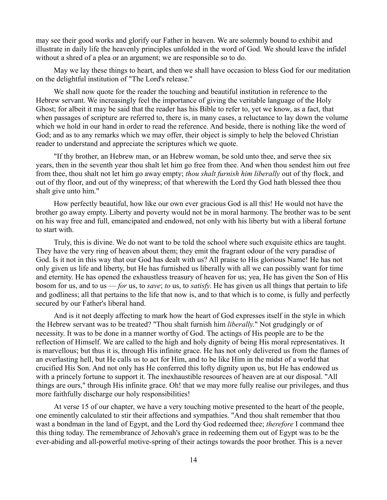may see their good works and glorify our Father in heaven. We are solemnly bound to exhibit and illustrate in daily life the heavenly principles unfolded in the word of God. We should leave the infidel without a shred of a plea or an argument; we are responsible so to do.

May we lay these things to heart, and then we shall have occasion to bless God for our meditation on the delightful institution of "The Lord's release."

We shall now quote for the reader the touching and beautiful institution in reference to the Hebrew servant. We increasingly feel the importance of giving the veritable language of the Holy Ghost; for albeit it may be said that the reader has his Bible to refer to, yet we know, as a fact, that when passages of scripture are referred to, there is, in many cases, a reluctance to lay down the volume which we hold in our hand in order to read the reference. And beside, there is nothing like the word of God; and as to any remarks which we may offer, their object is simply to help the beloved Christian reader to understand and appreciate the scriptures which we quote.

"If thy brother, an Hebrew man, or an Hebrew woman, be sold unto thee, and serve thee six years, then in the seventh year thou shalt let him go free from thee. And when thou sendest him out free from thee, thou shalt not let him go away empty; *thou shalt furnish him liberally* out of thy flock, and out of thy floor, and out of thy winepress; of that wherewith the Lord thy God hath blessed thee thou shalt give unto him."

How perfectly beautiful, how like our own ever gracious God is all this! He would not have the brother go away empty. Liberty and poverty would not be in moral harmony. The brother was to be sent on his way free and full, emancipated and endowed, not only with his liberty but with a liberal fortune to start with.

Truly, this is divine. We do not want to be told the school where such exquisite ethics are taught. They have the very ring of heaven about them; they emit the fragrant odour of the very paradise of God. Is it not in this way that our God has dealt with us? All praise to His glorious Name! He has not only given us life and liberty, but He has furnished us liberally with all we can possibly want for time and eternity. He has opened the exhaustless treasury of heaven for us; yea, He has given the Son of His bosom for us, and to us — *for* us, to *save*; *to* us, to *satisfy*. He has given us all things that pertain to life and godliness; all that pertains to the life that now is, and to that which is to come, is fully and perfectly secured by our Father's liberal hand.

And is it not deeply affecting to mark how the heart of God expresses itself in the style in which the Hebrew servant was to be treated? "Thou shalt furnish him *liberally*." Not grudgingly or of necessity. It was to be done in a manner worthy of God. The actings of His people are to be the reflection of Himself. We are called to the high and holy dignity of being His moral representatives. It is marvellous; but thus it is, through His infinite grace. He has not only delivered us from the flames of an everlasting hell, but He calls us to act for Him, and to be like Him in the midst of a world that crucified His Son. And not only has He conferred this lofty dignity upon us, but He has endowed us with a princely fortune to support it. The inexhaustible resources of heaven are at our disposal. "All things are ours," through His infinite grace. Oh! that we may more fully realise our privileges, and thus more faithfully discharge our holy responsibilities!

At verse 15 of our chapter, we have a very touching motive presented to the heart of the people, one eminently calculated to stir their affections and sympathies. "And thou shalt remember that thou wast a bondman in the land of Egypt, and the Lord thy God redeemed thee; *therefore* I command thee this thing today. The remembrance of Jehovah's grace in redeeming them out of Egypt was to be the ever-abiding and all-powerful motive-spring of their actings towards the poor brother. This is a never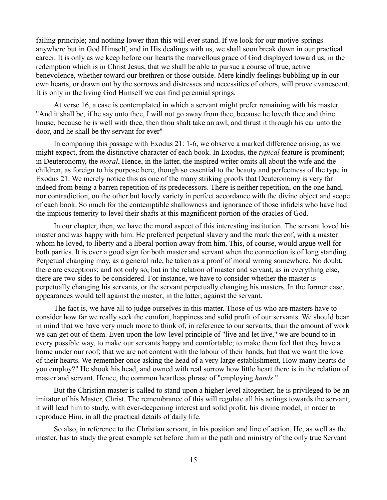failing principle; and nothing lower than this will ever stand. If we look for our motive-springs anywhere but in God Himself, and in His dealings with us, we shall soon break down in our practical career. It is only as we keep before our hearts the marvellous grace of God displayed toward us, in the redemption which is in Christ Jesus, that we shall be able to pursue a course of true, active benevolence, whether toward our brethren or those outside. Mere kindly feelings bubbling up in our own hearts, or drawn out by the sorrows and distresses and necessities of others, will prove evanescent. It is only in the living God Himself we can find perennial springs.

At verse 16, a case is contemplated in which a servant might prefer remaining with his master. "And it shall be, if he say unto thee, I will not go away from thee, because he loveth thee and thine house, because he is well with thee, then thou shalt take an awl, and thrust it through his ear unto the door, and he shall be thy servant for ever"

In comparing this passage with Exodus 21: 1-6, we observe a marked difference arising, as we might expect, from the distinctive character of each book. In Exodus, the *typical* feature is prominent; in Deuteronomy, the *moral*, Hence, in the latter, the inspired writer omits all about the wife and the children, as foreign to his purpose here, though so essential to the beauty and perfectness of the type in Exodus 21. We merely notice this as one of the many striking proofs that Deuteronomy is very far indeed from being a barren repetition of its predecessors. There is neither repetition, on the one hand, nor contradiction, on the other but lovely variety in perfect accordance with the divine object and scope of each book. So much for the contemptible shallowness and ignorance of those infidels who have had the impious temerity to level their shafts at this magnificent portion of the oracles of God.

In our chapter, then, we have the moral aspect of this interesting institution. The servant loved his master and was happy with him. He preferred perpetual slavery and the mark thereof, with a master whom he loved, to liberty and a liberal portion away from him. This, of course, would argue well for both parties. It is ever a good sign for both master and servant when the connection is of long standing. Perpetual changing may, as a general rule, be taken as a proof of moral wrong somewhere. No doubt, there are exceptions; and not only so, but in the relation of master and servant, as in everything else, there are two sides to be considered. For instance, we have to consider whether the master is perpetually changing his servants, or the servant perpetually changing his masters. In the former case, appearances would tell against the master; in the latter, against the servant.

The fact is, we have all to judge ourselves in this matter. Those of us who are masters have to consider how far we really seek the comfort, happiness and solid profit of our servants. We should bear in mind that we have very much more to think of, in reference to our servants, than the amount of work we can get out of them. Even upon the low-level principle of "live and let live," we are bound to in every possible way, to make our servants happy and comfortable; to make them feel that they have a home under our roof; that we are not content with the labour of their hands, but that we want the love of their hearts. We remember once asking the head of a very large establishment, How many hearts do you employ?" He shook his head, and owned with real sorrow how little heart there is in the relation of master and servant. Hence, the common heartless phrase of "employing *hands*."

But the Christian master is called to stand upon a higher level altogether; he is privileged to be an imitator of his Master, Christ. The remembrance of this will regulate all his actings towards the servant; it will lead him to study, with ever-deepening interest and solid profit, his divine model, in order to reproduce Him, in all the practical details of daily life.

So also, in reference to the Christian servant, in his position and line of action. He, as well as the master, has to study the great example set before :him in the path and ministry of the only true Servant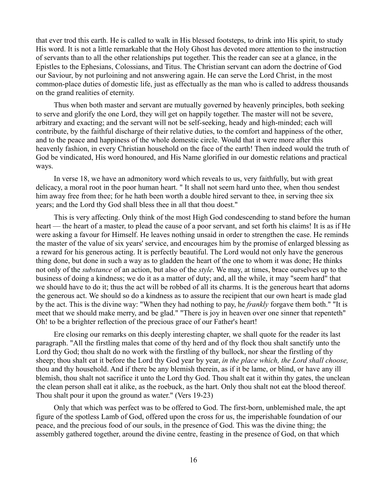that ever trod this earth. He is called to walk in His blessed footsteps, to drink into His spirit, to study His word. It is not a little remarkable that the Holy Ghost has devoted more attention to the instruction of servants than to all the other relationships put together. This the reader can see at a glance, in the Epistles to the Ephesians, Colossians, and Titus. The Christian servant can adorn the doctrine of God our Saviour, by not purloining and not answering again. He can serve the Lord Christ, in the most common-place duties of domestic life, just as effectually as the man who is called to address thousands on the grand realities of eternity.

Thus when both master and servant are mutually governed by heavenly principles, both seeking to serve and glorify the one Lord, they will get on happily together. The master will not be severe, arbitrary and exacting; and the servant will not be self-seeking, heady and high-minded; each will contribute, by the faithful discharge of their relative duties, to the comfort and happiness of the other, and to the peace and happiness of the whole domestic circle. Would that it were more after this heavenly fashion, in every Christian household on the face of the earth! Then indeed would the truth of God be vindicated, His word honoured, and His Name glorified in our domestic relations and practical ways.

In verse 18, we have an admonitory word which reveals to us, very faithfully, but with great delicacy, a moral root in the poor human heart. " It shall not seem hard unto thee, when thou sendest him away free from thee; for he hath been worth a double hired servant to thee, in serving thee six years; and the Lord thy God shall bless thee in all that thou doest."

This is very affecting. Only think of the most High God condescending to stand before the human heart — the heart of a master, to plead the cause of a poor servant, and set forth his claims! It is as if He were asking a favour for Himself. He leaves nothing unsaid in order to strengthen the case. He reminds the master of the value of six years' service, and encourages him by the promise of enlarged blessing as a reward for his generous acting. It is perfectly beautiful. The Lord would not only have the generous thing done, but done in such a way as to gladden the heart of the one to whom it was done; He thinks not only of the *substance* of an action, but also of the *style*. We may, at times, brace ourselves up to the business of doing a kindness; we do it as a matter of duty; and, all the while, it may "seem hard" that we should have to do it; thus the act will be robbed of all its charms. It is the generous heart that adorns the generous act. We should so do a kindness as to assure the recipient that our own heart is made glad by the act. This is the divine way: "When they had nothing to pay, he *frankly* forgave them both." "It is meet that we should make merry, and be glad." "There is joy in heaven over one sinner that repenteth" Oh! to be a brighter reflection of the precious grace of our Father's heart!

Ere closing our remarks on this deeply interesting chapter, we shall quote for the reader its last paragraph. "All the firstling males that come of thy herd and of thy flock thou shalt sanctify unto the Lord thy God; thou shalt do no work with the firstling of thy bullock, nor shear the firstling of thy sheep; thou shalt eat it before the Lord thy God year by year, *in the place which, the Lord shall choose,* thou and thy household. And if there be any blemish therein, as if it be lame, or blind, or have any ill blemish, thou shalt not sacrifice it unto the Lord thy God. Thou shalt eat it within thy gates, the unclean the clean person shall eat it alike, as the roebuck, as the hart. Only thou shalt not eat the blood thereof. Thou shalt pour it upon the ground as water." (Vers 19-23)

Only that which was perfect was to be offered to God. The first-born, unblemished male, the apt figure of the spotless Lamb of God, offered upon the cross for us, the imperishable foundation of our peace, and the precious food of our souls, in the presence of God. This was the divine thing; the assembly gathered together, around the divine centre, feasting in the presence of God, on that which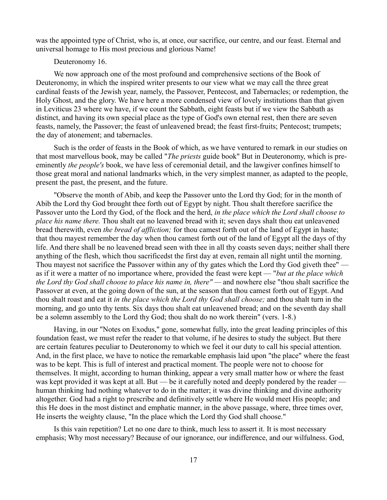was the appointed type of Christ, who is, at once, our sacrifice, our centre, and our feast. Eternal and universal homage to His most precious and glorious Name!

Deuteronomy 16.

We now approach one of the most profound and comprehensive sections of the Book of Deuteronomy, in which the inspired writer presents to our view what we may call the three great cardinal feasts of the Jewish year, namely, the Passover, Pentecost, and Tabernacles; or redemption, the Holy Ghost, and the glory. We have here a more condensed view of lovely institutions than that given in Leviticus 23 where we have, if we count the Sabbath, eight feasts but if we view the Sabbath as distinct, and having its own special place as the type of God's own eternal rest, then there are seven feasts, namely, the Passover; the feast of unleavened bread; the feast first-fruits; Pentecost; trumpets; the day of atonement; and tabernacles.

Such is the order of feasts in the Book of which, as we have ventured to remark in our studies on that most marvellous book, may be called "*The priests* guide book" But in Deuteronomy, which is preeminently *the people's* book, we have less of ceremonial detail, and the lawgiver confines himself to those great moral and national landmarks which, in the very simplest manner, as adapted to the people, present the past, the present, and the future.

"Observe the month of Abib, and keep the Passover unto the Lord thy God; for in the month of Abib the Lord thy God brought thee forth out of Egypt by night. Thou shalt therefore sacrifice the Passover unto the Lord thy God, of the flock and the herd, *in the place which the Lord shall choose to place his name there.* Thou shalt eat no leavened bread with it; seven days shalt thou eat unleavened bread therewith, even *the bread of affliction;* for thou camest forth out of the land of Egypt in haste; that thou mayest remember the day when thou camest forth out of the land of Egypt all the days of thy life. And there shall be no leavened bread seen with thee in all thy coasts seven days; neither shall there anything of the flesh, which thou sacrificedst the first day at even, remain all night until the morning. Thou mayest not sacrifice the Passover within any of thy gates which the Lord thy God giveth thee" as if it were a matter of no importance where, provided the feast were kept — "*but at the place which the Lord thy God shall choose to place his name in, there" —* and nowhere else "thou shalt sacrifice the Passover at even, at the going down of the sun, at the season that thou camest forth out of Egypt. And thou shalt roast and eat it *in the place which the Lord thy God shall choose;* and thou shalt turn in the morning, and go unto thy tents. Six days thou shalt eat unleavened bread; and on the seventh day shall be a solemn assembly to the Lord thy God; thou shalt do no work therein" (vers. 1-8.)

Having, in our "Notes on Exodus," gone, somewhat fully, into the great leading principles of this foundation feast, we must refer the reader to that volume, if he desires to study the subject. But there are certain features peculiar to Deuteronomy to which we feel it our duty to call his special attention. And, in the first place, we have to notice the remarkable emphasis laid upon "the place" where the feast was to be kept. This is full of interest and practical moment. The people were not to choose for themselves. It might, according to human thinking, appear a very small matter how or where the feast was kept provided it was kept at all. But — be it carefully noted and deeply pondered by the reader human thinking had nothing whatever to do in the matter; it was divine thinking and divine authority altogether. God had a right to prescribe and definitively settle where He would meet His people; and this He does in the most distinct and emphatic manner, in the above passage, where, three times over, He inserts the weighty clause, "In the place which the Lord thy God shall choose."

Is this vain repetition? Let no one dare to think, much less to assert it. It is most necessary emphasis; Why most necessary? Because of our ignorance, our indifference, and our wilfulness. God,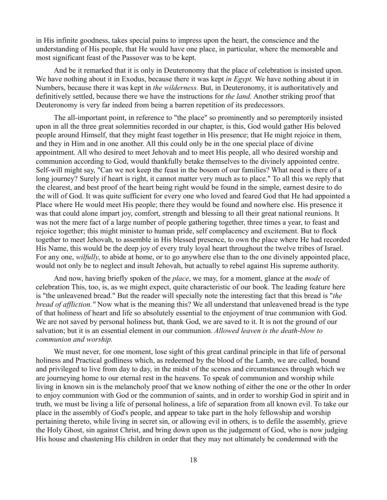in His infinite goodness, takes special pains to impress upon the heart, the conscience and the understanding of His people, that He would have one place, in particular, where the memorable and most significant feast of the Passover was to be kept.

And be it remarked that it is only in Deuteronomy that the place of celebration is insisted upon. We have nothing about it in Exodus, because there it was kept *in Egypt.* We have nothing about it in Numbers, because there it was kept in *the wilderness.* But, in Deuteronomy, it is authoritatively and definitively settled, because there we have the instructions for *the land.* Another striking proof that Deuteronomy is very far indeed from being a barren repetition of its predecessors.

The all-important point, in reference to "the place" so prominently and so peremptorily insisted upon in all the three great solemnities recorded in our chapter, is this, God would gather His beloved people around Himself, that they might feast together in His presence; that He might rejoice in them, and they in Him and in one another. All this could only be in the one special place of divine appointment. All who desired to meet Jehovah and to meet His people, all who desired worship and communion according to God, would thankfully betake themselves to the divinely appointed centre. Self-will might say, "Can we not keep the feast in the bosom of our families? What need is there of a long journey? Surely if heart is right, it cannot matter very much as to place." To all this we reply that the clearest, and best proof of the heart being right would be found in the simple, earnest desire to do the will of God. It was quite sufficient for every one who loved and feared God that He had appointed a Place where He would meet His people; there they would be found and nowhere else. His presence it was that could alone impart joy, comfort, strength and blessing to all their great national reunions. It was not the mere fact of a large number of people gathering together, three times a year, to feast and rejoice together; this might minister to human pride, self complacency and excitement. But to flock together to meet Jehovah, to assemble in His blessed presence, to own the place where He had recorded His Name, this would be the deep joy of every truly loyal heart throughout the twelve tribes of Israel. For any one, *wilfully*, to abide at home, or to go anywhere else than to the one divinely appointed place, would not only be to neglect and insult Jehovah, but actually to rebel against His supreme authority.

And now, having briefly spoken of the *place*, we may, for a moment, glance at the *mode* of celebration This, too, is, as we might expect, quite characteristic of our book. The leading feature here is "the unleavened bread." But the reader will specially note the interesting fact that this bread is "*the bread of affliction."* Now what is the meaning this? We all understand that unleavened bread is the type of that holiness of heart and life so absolutely essential to the enjoyment of true communion with God. We are not saved by personal holiness but, thank God, we are saved to it. It is not the ground of our salvation; but it is an essential element in our communion. *Allowed leaven is the death-blow to communion and worship.*

We must never, for one moment, lose sight of this great cardinal principle in that life of personal holiness and Practical godliness which, as redeemed by the blood of the Lamb, we are called, bound and privileged to live from day to day, in the midst of the scenes and circumstances through which we are journeying home to our eternal rest in the heavens. To speak of communion and worship while living in known sin is the melancholy proof that we know nothing of either the one or the other In order to enjoy communion with God or the communion of saints, and in order to worship God in spirit and in truth, we must be living a life of personal holiness, a life of separation from all known evil. To take our place in the assembly of God's people, and appear to take part in the holy fellowship and worship pertaining thereto, while living in secret sin, or allowing evil in others, is to defile the assembly, grieve the Holy Ghost, sin against Christ, and bring down upon us the judgement of God, who is now judging His house and chastening His children in order that they may not ultimately be condemned with the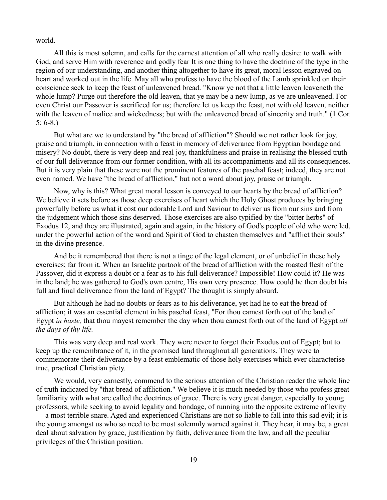#### world.

All this is most solemn, and calls for the earnest attention of all who really desire: to walk with God, and serve Him with reverence and godly fear It is one thing to have the doctrine of the type in the region of our understanding, and another thing altogether to have its great, moral lesson engraved on heart and worked out in the life. May all who profess to have the blood of the Lamb sprinkled on their conscience seek to keep the feast of unleavened bread. "Know ye not that a little leaven leaveneth the whole lump? Purge out therefore the old leaven, that ye may be a new lump, as ye are unleavened. For even Christ our Passover is sacrificed for us; therefore let us keep the feast, not with old leaven, neither with the leaven of malice and wickedness; but with the unleavened bread of sincerity and truth." (1 Cor. 5: 6-8.)

But what are we to understand by "the bread of affliction"? Should we not rather look for joy, praise and triumph, in connection with a feast in memory of deliverance from Egyptian bondage and misery? No doubt, there is very deep and real joy, thankfulness and praise in realising the blessed truth of our full deliverance from our former condition, with all its accompaniments and all its consequences. But it is very plain that these were not the prominent features of the paschal feast; indeed, they are not even named. We have "the bread of affliction," but not a word about joy, praise or triumph.

Now, why is this? What great moral lesson is conveyed to our hearts by the bread of affliction? We believe it sets before as those deep exercises of heart which the Holy Ghost produces by bringing powerfully before us what it cost our adorable Lord and Saviour to deliver us from our sins and from the judgement which those sins deserved. Those exercises are also typified by the "bitter herbs" of Exodus 12, and they are illustrated, again and again, in the history of God's people of old who were led, under the powerful action of the word and Spirit of God to chasten themselves and "afflict their souls" in the divine presence.

And be it remembered that there is not a tinge of the legal element, or of unbelief in these holy exercises; far from it. When an Israelite partook of the bread of affliction with the roasted flesh of the Passover, did it express a doubt or a fear as to his full deliverance? Impossible! How could it? He was in the land; he was gathered to God's own centre, His own very presence. How could he then doubt his full and final deliverance from the land of Egypt? The thought is simply absurd.

But although he had no doubts or fears as to his deliverance, yet had he to eat the bread of affliction; it was an essential element in his paschal feast, "For thou camest forth out of the land of Egypt *in haste,* that thou mayest remember the day when thou camest forth out of the land of Egypt *all the days of thy life.*

This was very deep and real work. They were never to forget their Exodus out of Egypt; but to keep up the remembrance of it, in the promised land throughout all generations. They were to commemorate their deliverance by a feast emblematic of those holy exercises which ever characterise true, practical Christian piety.

We would, very earnestly, commend to the serious attention of the Christian reader the whole line of truth indicated by "that bread of affliction." We believe it is much needed by those who profess great familiarity with what are called the doctrines of grace. There is very great danger, especially to young professors, while seeking to avoid legality and bondage, of running into the opposite extreme of levity — a most terrible snare. Aged and experienced Christians are not so liable to fall into this sad evil; it is the young amongst us who so need to be most solemnly warned against it. They hear, it may be, a great deal about salvation by grace, justification by faith, deliverance from the law, and all the peculiar privileges of the Christian position.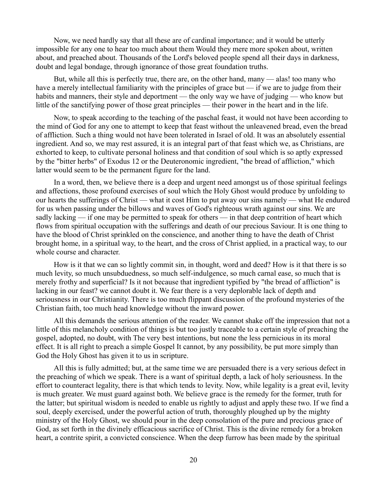Now, we need hardly say that all these are of cardinal importance; and it would be utterly impossible for any one to hear too much about them Would they mere more spoken about, written about, and preached about. Thousands of the Lord's beloved people spend all their days in darkness, doubt and legal bondage, through ignorance of those great foundation truths.

But, while all this is perfectly true, there are, on the other hand, many — alas! too many who have a merely intellectual familiarity with the principles of grace but — if we are to judge from their habits and manners, their style and deportment — the only way we have of judging — who know but little of the sanctifying power of those great principles — their power in the heart and in the life.

Now, to speak according to the teaching of the paschal feast, it would not have been according to the mind of God for any one to attempt to keep that feast without the unleavened bread, even the bread of affliction. Such a thing would not have been tolerated in Israel of old. It was an absolutely essential ingredient. And so, we may rest assured, it is an integral part of that feast which we, as Christians, are exhorted to keep, to cultivate personal holiness and that condition of soul which is so aptly expressed by the "bitter herbs" of Exodus 12 or the Deuteronomic ingredient, "the bread of affliction," which latter would seem to be the permanent figure for the land.

In a word, then, we believe there is a deep and urgent need amongst us of those spiritual feelings and affections, those profound exercises of soul which the Holy Ghost would produce by unfolding to our hearts the sufferings of Christ — what it cost Him to put away our sins namely — what He endured for us when passing under the billows and waves of God's righteous wrath against our sins. We are sadly lacking — if one may be permitted to speak for others — in that deep contrition of heart which flows from spiritual occupation with the sufferings and death of our precious Saviour. It is one thing to have the blood of Christ sprinkled on the conscience, and another thing to have the death of Christ brought home, in a spiritual way, to the heart, and the cross of Christ applied, in a practical way, to our whole course and character.

How is it that we can so lightly commit sin, in thought, word and deed? How is it that there is so much levity, so much unsubduedness, so much self-indulgence, so much carnal ease, so much that is merely frothy and superficial? Is it not because that ingredient typified by "the bread of affliction" is lacking in our feast? we cannot doubt it. We fear there is a very deplorable lack of depth and seriousness in our Christianity. There is too much flippant discussion of the profound mysteries of the Christian faith, too much head knowledge without the inward power.

All this demands the serious attention of the reader. We cannot shake off the impression that not a little of this melancholy condition of things is but too justly traceable to a certain style of preaching the gospel, adopted, no doubt, with The very best intentions, but none the less pernicious in its moral effect. It is all right to preach a simple Gospel It cannot, by any possibility, be put more simply than God the Holy Ghost has given it to us in scripture.

All this is fully admitted; but, at the same time we are persuaded there is a very serious defect in the preaching of which we speak. There is a want of spiritual depth, a lack of holy seriousness. In the effort to counteract legality, there is that which tends to levity. Now, while legality is a great evil, levity is much greater. We must guard against both. We believe grace is the remedy for the former, truth for the latter; but spiritual wisdom is needed to enable us rightly to adjust and apply these two. If we find a soul, deeply exercised, under the powerful action of truth, thoroughly ploughed up by the mighty ministry of the Holy Ghost, we should pour in the deep consolation of the pure and precious grace of God, as set forth in the divinely efficacious sacrifice of Christ. This is the divine remedy for a broken heart, a contrite spirit, a convicted conscience. When the deep furrow has been made by the spiritual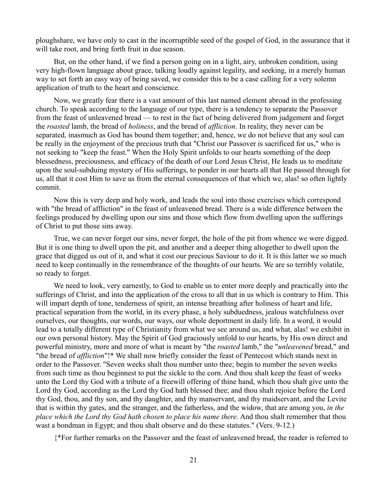ploughshare, we have only to cast in the incorruptible seed of the gospel of God, in the assurance that it will take root, and bring forth fruit in due season.

But, on the other hand, if we find a person going on in a light, airy, unbroken condition, using very high-flown language about grace, talking loudly against legality, and seeking, in a merely human way to set forth an easy way of being saved, we consider this to be a case calling for a very solemn application of truth to the heart and conscience.

Now, we greatly fear there is a vast amount of this last named element abroad in the professing church. To speak according to the language of our type, there is a tendency to separate the Passover from the feast of unleavened bread — to rest in the fact of being delivered from judgement and forget the *roasted* lamb, the bread of *holiness*, and the bread of *affliction*. In reality, they never can be separated, inasmuch as God has bound them together; and, hence, we do not believe that any soul can be really in the enjoyment of the precious truth that "Christ our Passover is sacrificed for us," who is not seeking to "keep the feast." When the Holy Spirit unfolds to our hearts something of the deep blessedness, preciousness, and efficacy of the death of our Lord Jesus Christ, He leads us to meditate upon the soul-subduing mystery of His sufferings, to ponder in our hearts all that He passed through for us, all that it cost Him to save us from the eternal consequences of that which we, alas! so often lightly commit.

Now this is very deep and holy work, and leads the soul into those exercises which correspond with "the bread of affliction" in the feast of unleavened bread. There is a wide difference between the feelings produced by dwelling upon our sins and those which flow from dwelling upon the sufferings of Christ to put those sins away.

True, we can never forget our sins, never forget, the hole of the pit from whence we were digged. But it is one thing to dwell upon the pit, and another and a deeper thing altogether to dwell upon the grace that digged us out of it, and what it cost our precious Saviour to do it. It is this latter we so much need to keep continually in the remembrance of the thoughts of our hearts. We are so terribly volatile, so ready to forget.

We need to look, very earnestly, to God to enable us to enter more deeply and practically into the sufferings of Christ, and into the application of the cross to all that in us which is contrary to Him. This will impart depth of tone, tenderness of spirit, an intense breathing after holiness of heart and life, practical separation from the world, in its every phase, a holy subduedness, jealous watchfulness over ourselves, our thoughts, our words, our ways, our whole deportment in daily life. In a word, it would lead to a totally different type of Christianity from what we see around us, and what, alas! we exhibit in our own personal history. May the Spirit of God graciously unfold to our hearts, by His own direct and powerful ministry, more and more of what is meant by "the *roasted* lamb," the "*unleavened* bread," and "the bread of *affliction*"!\* We shall now briefly consider the feast of Pentecost which stands next in order to the Passover. "Seven weeks shalt thou number unto thee; begin to number the seven weeks from such time as thou beginnest to put the sickle to the corn. And thou shalt keep the feast of weeks unto the Lord thy God with a tribute of a freewill offering of thine hand, which thou shalt give unto the Lord thy God, according as the Lord thy God hath blessed thee; and thou shalt rejoice before the Lord thy God, thou, and thy son, and thy daughter, and thy manservant, and thy maidservant, and the Levite that is within thy gates, and the stranger, and the fatherless, and the widow, that are among you, *in the place which the Lord thy God hath chosen to place his name there.* And thou shalt remember that thou wast a bondman in Egypt; and thou shalt observe and do these statutes." (Vers. 9-12.)

{\*For further remarks on the Passover and the feast of unleavened bread, the reader is referred to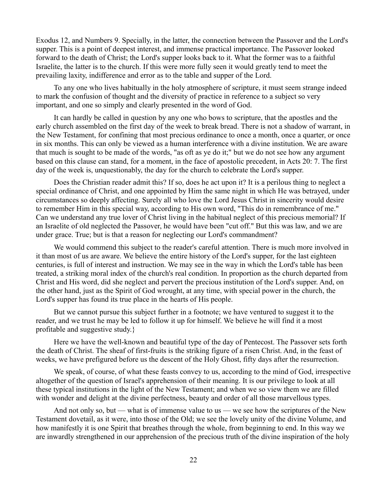Exodus 12, and Numbers 9. Specially, in the latter, the connection between the Passover and the Lord's supper. This is a point of deepest interest, and immense practical importance. The Passover looked forward to the death of Christ; the Lord's supper looks back to it. What the former was to a faithful Israelite, the latter is to the church. If this were more fully seen it would greatly tend to meet the prevailing laxity, indifference and error as to the table and supper of the Lord.

To any one who lives habitually in the holy atmosphere of scripture, it must seem strange indeed to mark the confusion of thought and the diversity of practice in reference to a subject so very important, and one so simply and clearly presented in the word of God.

It can hardly be called in question by any one who bows to scripture, that the apostles and the early church assembled on the first day of the week to break bread. There is not a shadow of warrant, in the New Testament, for confining that most precious ordinance to once a month, once a quarter, or once in six months. This can only be viewed as a human interference with a divine institution. We are aware that much is sought to be made of the words, "as oft as ye do it;" but we do not see how any argument based on this clause can stand, for a moment, in the face of apostolic precedent, in Acts 20: 7. The first day of the week is, unquestionably, the day for the church to celebrate the Lord's supper.

Does the Christian reader admit this? If so, does he act upon it? It is a perilous thing to neglect a special ordinance of Christ, and one appointed by Him the same night in which He was betrayed, under circumstances so deeply affecting. Surely all who love the Lord Jesus Christ in sincerity would desire to remember Him in this special way, according to His own word, "This do in remembrance of me." Can we understand any true lover of Christ living in the habitual neglect of this precious memorial? If an Israelite of old neglected the Passover, he would have been "cut off." But this was law, and we are under grace. True; but is that a reason for neglecting our Lord's commandment?

We would commend this subject to the reader's careful attention. There is much more involved in it than most of us are aware. We believe the entire history of the Lord's supper, for the last eighteen centuries, is full of interest and instruction. We may see in the way in which the Lord's table has been treated, a striking moral index of the church's real condition. In proportion as the church departed from Christ and His word, did she neglect and pervert the precious institution of the Lord's supper. And, on the other hand, just as the Spirit of God wrought, at any time, with special power in the church, the Lord's supper has found its true place in the hearts of His people.

But we cannot pursue this subject further in a footnote; we have ventured to suggest it to the reader, and we trust he may be led to follow it up for himself. We believe he will find it a most profitable and suggestive study.}

Here we have the well-known and beautiful type of the day of Pentecost. The Passover sets forth the death of Christ. The sheaf of first-fruits is the striking figure of a risen Christ. And, in the feast of weeks, we have prefigured before us the descent of the Holy Ghost, fifty days after the resurrection.

We speak, of course, of what these feasts convey to us, according to the mind of God, irrespective altogether of the question of Israel's apprehension of their meaning. It is our privilege to look at all these typical institutions in the light of the New Testament; and when we so view them we are filled with wonder and delight at the divine perfectness, beauty and order of all those marvellous types.

And not only so, but — what is of immense value to us — we see how the scriptures of the New Testament dovetail, as it were, into those of the Old; we see the lovely unity of the divine Volume, and how manifestly it is one Spirit that breathes through the whole, from beginning to end. In this way we are inwardly strengthened in our apprehension of the precious truth of the divine inspiration of the holy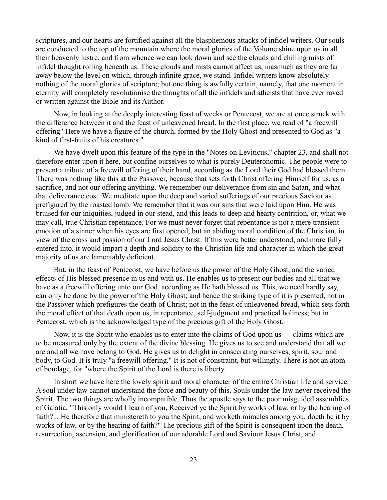scriptures, and our hearts are fortified against all the blasphemous attacks of infidel writers. Our souls are conducted to the top of the mountain where the moral glories of the Volume shine upon us in all their heavenly lustre, and from whence we can look down and see the clouds and chilling mists of infidel thought rolling beneath us. These clouds and mists cannot affect us, inasmuch as they are far away below the level on which, through infinite grace, we stand. Infidel writers know absolutely nothing of the moral glories of scripture; but one thing is awfully certain, namely, that one moment in eternity will completely revolutionise the thoughts of all the infidels and atheists that have ever raved or written against the Bible and its Author.

Now, in looking at the deeply interesting feast of weeks or Pentecost, we are at once struck with the difference between it and the feast of unleavened bread. In the first place, we read of "a freewill offering" Here we have a figure of the church, formed by the Holy Ghost and presented to God as "a kind of first-fruits of his creatures."

We have dwelt upon this feature of the type in the "Notes on Leviticus," chapter 23, and shall not therefore enter upon it here, but confine ourselves to what is purely Deuteronomic. The people were to present a tribute of a freewill offering of their hand, according as the Lord their God had blessed them. There was nothing like this at the Passover, because that sets forth Christ offering Himself for us, as a sacrifice, and not our offering anything. We remember our deliverance from sin and Satan, and what that deliverance cost. We meditate upon the deep and varied sufferings of our precious Saviour as prefigured by the roasted lamb. We remember that it was our sins that were laid upon Him. He was bruised for our iniquities, judged in our stead, and this leads to deep and hearty contrition, or, what we may call, true Christian repentance. For we must never forget that repentance is not a mere transient emotion of a sinner when his eyes are first opened, but an abiding moral condition of the Christian, in view of the cross and passion of our Lord Jesus Christ. If this were better understood, and more fully entered into, it would impart a depth and solidity to the Christian life and character in which the great majority of us are lamentably deficient.

But, in the feast of Pentecost, we have before us the power of the Holy Ghost, and the varied effects of His blessed presence in us and with us. He enables us to present our bodies and all that we have as a freewill offering unto our God, according as He hath blessed us. This, we need hardly say, can only be done by the power of the Holy Ghost; and hence the striking type of it is presented, not in the Passover which prefigures the death of Christ; not in the feast of unleavened bread, which sets forth the moral effect of that death upon us, in repentance, self-judgment and practical holiness; but in Pentecost, which is the acknowledged type of the precious gift of the Holy Ghost.

Now, it is the Spirit who enables us to enter into the claims of God upon us — claims which are to be measured only by the extent of the divine blessing. He gives us to see and understand that all we are and all we have belong to God. He gives us to delight in consecrating ourselves, spirit, soul and body, to God. It is truly "a freewill offering." It is not of constraint, but willingly. There is not an atom of bondage, for "where the Spirit of the Lord is there is liberty.

In short we have here the lovely spirit and moral character of the entire Christian life and service. A soul under law cannot understand the force and beauty of this. Souls under the law never received the Spirit. The two things are wholly incompatible. Thus the apostle says to the poor misguided assemblies of Galatia, "This only would I learn of you, Received ye the Spirit by works of law, or by the hearing of faith?... He therefore that ministereth to you the Spirit, and worketh miracles among you, doeth he it by works of law, or by the hearing of faith?" The precious gift of the Spirit is consequent upon the death, resurrection, ascension, and glorification of our adorable Lord and Saviour Jesus Christ, and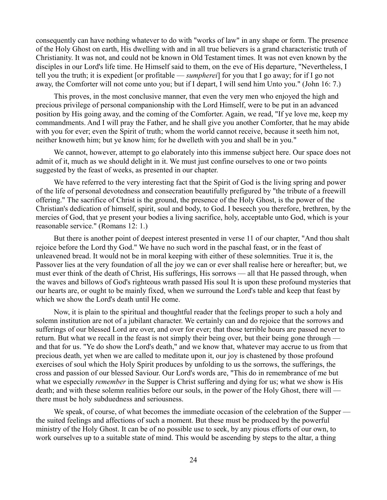consequently can have nothing whatever to do with "works of law" in any shape or form. The presence of the Holy Ghost on earth, His dwelling with and in all true believers is a grand characteristic truth of Christianity. It was not, and could not be known in Old Testament times. It was not even known by the disciples in our Lord's life time. He Himself said to them, on the eve of His departure, "Nevertheless, I tell you the truth; it is expedient [or profitable — *sumpherei*] for you that I go away; for if I go not away, the Comforter will not come unto you; but if I depart, I will send him Unto you." (John 16: 7.)

This proves, in the most conclusive manner, that even the very men who enjoyed the high and precious privilege of personal companionship with the Lord Himself, were to be put in an advanced position by His going away, and the coming of the Comforter. Again, we read, "If ye love me, keep my commandments. And I will pray the Father, and he shall give you another Comforter, that he may abide with you for ever; even the Spirit of truth; whom the world cannot receive, because it seeth him not, neither knoweth him; but ye know him; for he dwelleth with you and shall be in you."

We cannot, however, attempt to go elaborately into this immense subject here. Our space does not admit of it, much as we should delight in it. We must just confine ourselves to one or two points suggested by the feast of weeks, as presented in our chapter.

We have referred to the very interesting fact that the Spirit of God is the living spring and power of the life of personal devotedness and consecration beautifully prefigured by "the tribute of a freewill offering." The sacrifice of Christ is the ground, the presence of the Holy Ghost, is the power of the Christian's dedication of himself, spirit, soul and body, to God. I beseech you therefore, brethren, by the mercies of God, that ye present your bodies a living sacrifice, holy, acceptable unto God, which is your reasonable service." (Romans 12: 1.)

But there is another point of deepest interest presented in verse 11 of our chapter, "And thou shalt rejoice before the Lord thy God." We have no such word in the paschal feast, or in the feast of unleavened bread. It would not be in moral keeping with either of these solemnities. True it is, the Passover lies at the very foundation of all the joy we can or ever shall realise here or hereafter; but, we must ever think of the death of Christ, His sufferings, His sorrows — all that He passed through, when the waves and billows of God's righteous wrath passed His soul It is upon these profound mysteries that our hearts are, or ought to be mainly fixed, when we surround the Lord's table and keep that feast by which we show the Lord's death until He come.

Now, it is plain to the spiritual and thoughtful reader that the feelings proper to such a holy and solemn institution are not of a jubilant character. We certainly can and do rejoice that the sorrows and sufferings of our blessed Lord are over, and over for ever; that those terrible hours are passed never to return. But what we recall in the feast is not simply their being over, but their being gone through and that for us. "Ye do show the Lord's death," and we know that, whatever may accrue to us from that precious death, yet when we are called to meditate upon it, our joy is chastened by those profound exercises of soul which the Holy Spirit produces by unfolding to us the sorrows, the sufferings, the cross and passion of our blessed Saviour. Our Lord's words are, "This do in remembrance of me but what we especially *remember* in the Supper is Christ suffering and dying for us; what we show is His death; and with these solemn realities before our souls, in the power of the Holy Ghost, there will there must be holy subduedness and seriousness.

We speak, of course, of what becomes the immediate occasion of the celebration of the Supper the suited feelings and affections of such a moment. But these must be produced by the powerful ministry of the Holy Ghost. It can be of no possible use to seek, by any pious efforts of our own, to work ourselves up to a suitable state of mind. This would be ascending by steps to the altar, a thing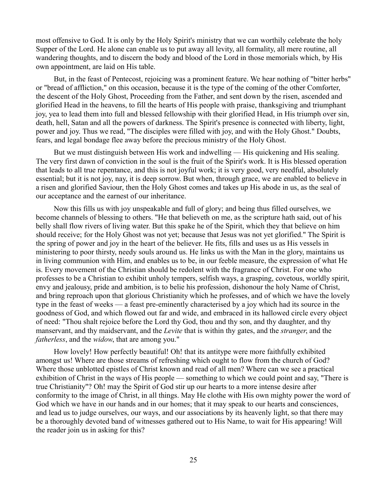most offensive to God. It is only by the Holy Spirit's ministry that we can worthily celebrate the holy Supper of the Lord. He alone can enable us to put away all levity, all formality, all mere routine, all wandering thoughts, and to discern the body and blood of the Lord in those memorials which, by His own appointment, are laid on His table.

But, in the feast of Pentecost, rejoicing was a prominent feature. We hear nothing of "bitter herbs" or "bread of affliction," on this occasion, because it is the type of the coming of the other Comforter, the descent of the Holy Ghost, Proceeding from the Father, and sent down by the risen, ascended and glorified Head in the heavens, to fill the hearts of His people with praise, thanksgiving and triumphant joy, yea to lead them into full and blessed fellowship with their glorified Head, in His triumph over sin, death, hell, Satan and all the powers of darkness. The Spirit's presence is connected with liberty, light, power and joy. Thus we read, "The disciples were filled with joy, and with the Holy Ghost." Doubts, fears, and legal bondage flee away before the precious ministry of the Holy Ghost.

But we must distinguish between His work and indwelling — His quickening and His sealing. The very first dawn of conviction in the soul is the fruit of the Spirit's work. It is His blessed operation that leads to all true repentance, and this is not joyful work; it is very good, very needful, absolutely essential; but it is not joy, nay, it is deep sorrow. But when, through grace, we are enabled to believe in a risen and glorified Saviour, then the Holy Ghost comes and takes up His abode in us, as the seal of our acceptance and the earnest of our inheritance.

Now this fills us with joy unspeakable and full of glory; and being thus filled ourselves, we become channels of blessing to others. "He that believeth on me, as the scripture hath said, out of his belly shall flow rivers of living water. But this spake he of the Spirit, which they that believe on him should receive; for the Holy Ghost was not yet; because that Jesus was not yet glorified." The Spirit is the spring of power and joy in the heart of the believer. He fits, fills and uses us as His vessels in ministering to poor thirsty, needy souls around us. He links us with the Man in the glory, maintains us in living communion with Him, and enables us to be, in our feeble measure, the expression of what He is. Every movement of the Christian should be redolent with the fragrance of Christ. For one who professes to be a Christian to exhibit unholy tempers, selfish ways, a grasping, covetous, worldly spirit, envy and jealousy, pride and ambition, is to belie his profession, dishonour the holy Name of Christ, and bring reproach upon that glorious Christianity which he professes, and of which we have the lovely type in the feast of weeks — a feast pre-eminently characterised by a joy which had its source in the goodness of God, and which flowed out far and wide, and embraced in its hallowed circle every object of need: "Thou shalt rejoice before the Lord thy God, thou and thy son, and thy daughter, and thy manservant, and thy maidservant, and the *Levite* that is within thy gates, and the *stranger*, and the *fatherless*, and the *widow*, that are among you."

How lovely! How perfectly beautiful! Oh! that its antitype were more faithfully exhibited amongst us! Where are those streams of refreshing which ought to flow from the church of God? Where those unblotted epistles of Christ known and read of all men? Where can we see a practical exhibition of Christ in the ways of His people — something to which we could point and say, "There is true Christianity"? Oh! may the Spirit of God stir up our hearts to a more intense desire after conformity to the image of Christ, in all things. May He clothe with His own mighty power the word of God which we have in our hands and in our homes; that it may speak to our hearts and consciences, and lead us to judge ourselves, our ways, and our associations by its heavenly light, so that there may be a thoroughly devoted band of witnesses gathered out to His Name, to wait for His appearing! Will the reader join us in asking for this?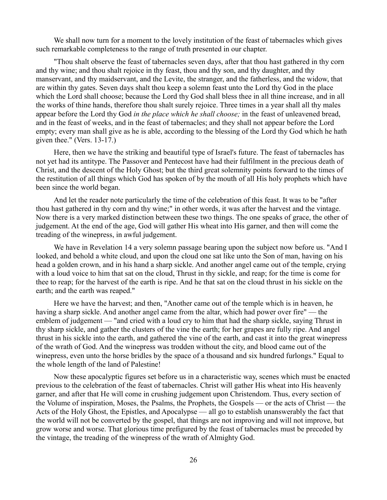We shall now turn for a moment to the lovely institution of the feast of tabernacles which gives such remarkable completeness to the range of truth presented in our chapter.

"Thou shalt observe the feast of tabernacles seven days, after that thou hast gathered in thy corn and thy wine; and thou shalt rejoice in thy feast, thou and thy son, and thy daughter, and thy manservant, and thy maidservant, and the Levite, the stranger, and the fatherless, and the widow, that are within thy gates. Seven days shalt thou keep a solemn feast unto the Lord thy God in the place which the Lord shall choose; because the Lord thy God shall bless thee in all thine increase, and in all the works of thine hands, therefore thou shalt surely rejoice. Three times in a year shall all thy males appear before the Lord thy God *in the place which he shall choose;* in the feast of unleavened bread, and in the feast of weeks, and in the feast of tabernacles; and they shall not appear before the Lord empty; every man shall give as he is able, according to the blessing of the Lord thy God which he hath given thee." (Vers. 13-17.)

Here, then we have the striking and beautiful type of Israel's future. The feast of tabernacles has not yet had its antitype. The Passover and Pentecost have had their fulfilment in the precious death of Christ, and the descent of the Holy Ghost; but the third great solemnity points forward to the times of the restitution of all things which God has spoken of by the mouth of all His holy prophets which have been since the world began.

And let the reader note particularly the time of the celebration of this feast. It was to be "after thou hast gathered in thy corn and thy wine;" in other words, it was after the harvest and the vintage. Now there is a very marked distinction between these two things. The one speaks of grace, the other of judgement. At the end of the age, God will gather His wheat into His garner, and then will come the treading of the winepress, in awful judgement.

We have in Revelation 14 a very solemn passage bearing upon the subject now before us. "And I looked, and behold a white cloud, and upon the cloud one sat like unto the Son of man, having on his head a golden crown, and in his hand a sharp sickle. And another angel came out of the temple, crying with a loud voice to him that sat on the cloud, Thrust in thy sickle, and reap; for the time is come for thee to reap; for the harvest of the earth is ripe. And he that sat on the cloud thrust in his sickle on the earth; and the earth was reaped."

Here we have the harvest; and then, "Another came out of the temple which is in heaven, he having a sharp sickle. And another angel came from the altar, which had power over fire" — the emblem of judgement — "and cried with a loud cry to him that had the sharp sickle, saying Thrust in thy sharp sickle, and gather the clusters of the vine the earth; for her grapes are fully ripe. And angel thrust in his sickle into the earth, and gathered the vine of the earth, and cast it into the great winepress of the wrath of God. And the winepress was trodden without the city, and blood came out of the winepress, even unto the horse bridles by the space of a thousand and six hundred furlongs." Equal to the whole length of the land of Palestine!

Now these apocalyptic figures set before us in a characteristic way, scenes which must be enacted previous to the celebration of the feast of tabernacles. Christ will gather His wheat into His heavenly garner, and after that He will come in crushing judgement upon Christendom. Thus, every section of the Volume of inspiration, Moses, the Psalms, the Prophets, the Gospels — or the acts of Christ — the Acts of the Holy Ghost, the Epistles, and Apocalypse — all go to establish unanswerably the fact that the world will not be converted by the gospel, that things are not improving and will not improve, but grow worse and worse. That glorious time prefigured by the feast of tabernacles must be preceded by the vintage, the treading of the winepress of the wrath of Almighty God.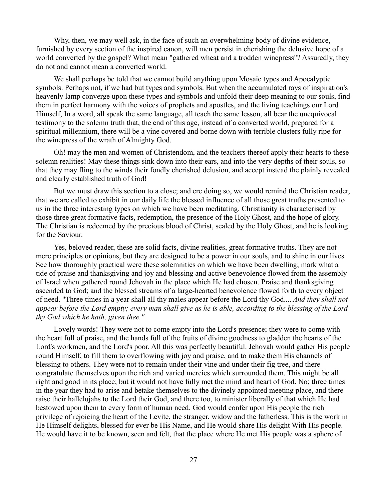Why, then, we may well ask, in the face of such an overwhelming body of divine evidence, furnished by every section of the inspired canon, will men persist in cherishing the delusive hope of a world converted by the gospel? What mean "gathered wheat and a trodden winepress"? Assuredly, they do not and cannot mean a converted world.

We shall perhaps be told that we cannot build anything upon Mosaic types and Apocalyptic symbols. Perhaps not, if we had but types and symbols. But when the accumulated rays of inspiration's heavenly lamp converge upon these types and symbols and unfold their deep meaning to our souls, find them in perfect harmony with the voices of prophets and apostles, and the living teachings our Lord Himself, In a word, all speak the same language, all teach the same lesson, all bear the unequivocal testimony to the solemn truth that, the end of this age, instead of a converted world, prepared for a spiritual millennium, there will be a vine covered and borne down with terrible clusters fully ripe for the winepress of the wrath of Almighty God.

Oh! may the men and women of Christendom, and the teachers thereof apply their hearts to these solemn realities! May these things sink down into their ears, and into the very depths of their souls, so that they may fling to the winds their fondly cherished delusion, and accept instead the plainly revealed and clearly established truth of God!

But we must draw this section to a close; and ere doing so, we would remind the Christian reader, that we are called to exhibit in our daily life the blessed influence of all those great truths presented to us in the three interesting types on which we have been meditating. Christianity is characterised by those three great formative facts, redemption, the presence of the Holy Ghost, and the hope of glory. The Christian is redeemed by the precious blood of Christ, sealed by the Holy Ghost, and he is looking for the Saviour.

Yes, beloved reader, these are solid facts, divine realities, great formative truths. They are not mere principles or opinions, but they are designed to be a power in our souls, and to shine in our lives. See how thoroughly practical were these solemnities on which we have been dwelling; mark what a tide of praise and thanksgiving and joy and blessing and active benevolence flowed from the assembly of Israel when gathered round Jehovah in the place which He had chosen. Praise and thanksgiving ascended to God; and the blessed streams of a large-hearted benevolence flowed forth to every object of need. "Three times in a year shall all thy males appear before the Lord thy God.... *And they shall not appear before the Lord empty; every man shall give as he is able, according to the blessing of the Lord thy God which he hath, given thee."*

Lovely words! They were not to come empty into the Lord's presence; they were to come with the heart full of praise, and the hands full of the fruits of divine goodness to gladden the hearts of the Lord's workmen, and the Lord's poor. All this was perfectly beautiful. Jehovah would gather His people round Himself, to fill them to overflowing with joy and praise, and to make them His channels of blessing to others. They were not to remain under their vine and under their fig tree, and there congratulate themselves upon the rich and varied mercies which surrounded them. This might be all right and good in its place; but it would not have fully met the mind and heart of God. No; three times in the year they had to arise and betake themselves to the divinely appointed meeting place, and there raise their hallelujahs to the Lord their God, and there too, to minister liberally of that which He had bestowed upon them to every form of human need. God would confer upon His people the rich privilege of rejoicing the heart of the Levite, the stranger, widow and the fatherless. This is the work in He Himself delights, blessed for ever be His Name, and He would share His delight With His people. He would have it to be known, seen and felt, that the place where He met His people was a sphere of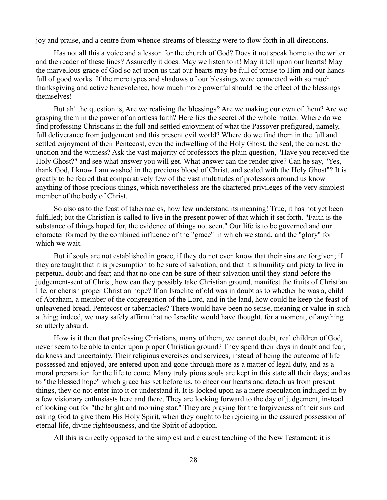joy and praise, and a centre from whence streams of blessing were to flow forth in all directions.

Has not all this a voice and a lesson for the church of God? Does it not speak home to the writer and the reader of these lines? Assuredly it does. May we listen to it! May it tell upon our hearts! May the marvellous grace of God so act upon us that our hearts may be full of praise to Him and our hands full of good works. If the mere types and shadows of our blessings were connected with so much thanksgiving and active benevolence, how much more powerful should be the effect of the blessings themselves!

But ah! the question is, Are we realising the blessings? Are we making our own of them? Are we grasping them in the power of an artless faith? Here lies the secret of the whole matter. Where do we find professing Christians in the full and settled enjoyment of what the Passover prefigured, namely, full deliverance from judgement and this present evil world? Where do we find them in the full and settled enjoyment of their Pentecost, even the indwelling of the Holy Ghost, the seal, the earnest, the unction and the witness? Ask the vast majority of professors the plain question, "Have you received the Holy Ghost?" and see what answer you will get. What answer can the render give? Can he say, "Yes, thank God, I know I am washed in the precious blood of Christ, and sealed with the Holy Ghost"? It is greatly to be feared that comparatively few of the vast multitudes of professors around us know anything of those precious things, which nevertheless are the chartered privileges of the very simplest member of the body of Christ.

So also as to the feast of tabernacles, how few understand its meaning! True, it has not yet been fulfilled; but the Christian is called to live in the present power of that which it set forth. "Faith is the substance of things hoped for, the evidence of things not seen." Our life is to be governed and our character formed by the combined influence of the "grace" in which we stand, and the "glory" for which we wait.

But if souls are not established in grace, if they do not even know that their sins are forgiven; if they are taught that it is presumption to be sure of salvation, and that it is humility and piety to live in perpetual doubt and fear; and that no one can be sure of their salvation until they stand before the judgement-sent of Christ, how can they possibly take Christian ground, manifest the fruits of Christian life, or cherish proper Christian hope? If an Israelite of old was in doubt as to whether he was a, child of Abraham, a member of the congregation of the Lord, and in the land, how could he keep the feast of unleavened bread, Pentecost or tabernacles? There would have been no sense, meaning or value in such a thing; indeed, we may safely affirm that no Israelite would have thought, for a moment, of anything so utterly absurd.

How is it then that professing Christians, many of them, we cannot doubt, real children of God, never seem to be able to enter upon proper Christian ground? They spend their days in doubt and fear, darkness and uncertainty. Their religious exercises and services, instead of being the outcome of life possessed and enjoyed, are entered upon and gone through more as a matter of legal duty, and as a moral preparation for the life to come. Many truly pious souls are kept in this state all their days; and as to "the blessed hope" which grace has set before us, to cheer our hearts and detach us from present things, they do not enter into it or understand it. It is looked upon as a mere speculation indulged in by a few visionary enthusiasts here and there. They are looking forward to the day of judgement, instead of looking out for "the bright and morning star." They are praying for the forgiveness of their sins and asking God to give them His Holy Spirit, when they ought to be rejoicing in the assured possession of eternal life, divine righteousness, and the Spirit of adoption.

All this is directly opposed to the simplest and clearest teaching of the New Testament; it is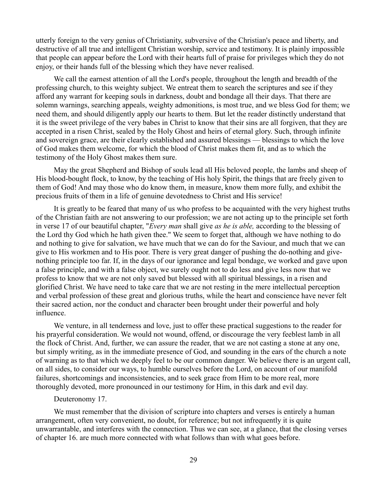utterly foreign to the very genius of Christianity, subversive of the Christian's peace and liberty, and destructive of all true and intelligent Christian worship, service and testimony. It is plainly impossible that people can appear before the Lord with their hearts full of praise for privileges which they do not enjoy, or their hands full of the blessing which they have never realised.

We call the earnest attention of all the Lord's people, throughout the length and breadth of the professing church, to this weighty subject. We entreat them to search the scriptures and see if they afford any warrant for keeping souls in darkness, doubt and bondage all their days. That there are solemn warnings, searching appeals, weighty admonitions, is most true, and we bless God for them; we need them, and should diligently apply our hearts to them. But let the reader distinctly understand that it is the sweet privilege of the very babes in Christ to know that their sins are all forgiven, that they are accepted in a risen Christ, sealed by the Holy Ghost and heirs of eternal glory. Such, through infinite and sovereign grace, are their clearly established and assured blessings — blessings to which the love of God makes them welcome, for which the blood of Christ makes them fit, and as to which the testimony of the Holy Ghost makes them sure.

May the great Shepherd and Bishop of souls lead all His beloved people, the lambs and sheep of His blood-bought flock, to know, by the teaching of His holy Spirit, the things that are freely given to them of God! And may those who do know them, in measure, know them more fully, and exhibit the precious fruits of them in a life of genuine devotedness to Christ and His service!

It is greatly to be feared that many of us who profess to be acquainted with the very highest truths of the Christian faith are not answering to our profession; we are not acting up to the principle set forth in verse 17 of our beautiful chapter, "*Every man* shall give *as he is able,* according to the blessing of the Lord thy God which he hath given thee." We seem to forget that, although we have nothing to do and nothing to give for salvation, we have much that we can do for the Saviour, and much that we can give to His workmen and to His poor. There is very great danger of pushing the do-nothing and givenothing principle too far. If, in the days of our ignorance and legal bondage, we worked and gave upon a false principle, and with a false object, we surely ought not to do less and give less now that we profess to know that we are not only saved but blessed with all spiritual blessings, in a risen and glorified Christ. We have need to take care that we are not resting in the mere intellectual perception and verbal profession of these great and glorious truths, while the heart and conscience have never felt their sacred action, nor the conduct and character been brought under their powerful and holy influence.

We venture, in all tenderness and love, just to offer these practical suggestions to the reader for his prayerful consideration. We would not wound, offend, or discourage the very feeblest lamb in all the flock of Christ. And, further, we can assure the reader, that we are not casting a stone at any one, but simply writing, as in the immediate presence of God, and sounding in the ears of the church a note of warning as to that which we deeply feel to be our common danger. We believe there is an urgent call, on all sides, to consider our ways, to humble ourselves before the Lord, on account of our manifold failures, shortcomings and inconsistencies, and to seek grace from Him to be more real, more thoroughly devoted, more pronounced in our testimony for Him, in this dark and evil day.

## Deuteronomy 17.

We must remember that the division of scripture into chapters and verses is entirely a human arrangement, often very convenient, no doubt, for reference; but not infrequently it is quite unwarrantable, and interferes with the connection. Thus we can see, at a glance, that the closing verses of chapter 16. are much more connected with what follows than with what goes before.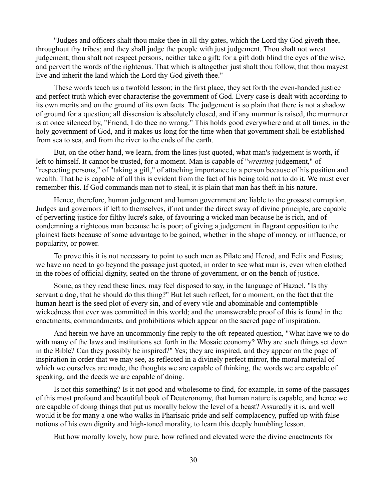"Judges and officers shalt thou make thee in all thy gates, which the Lord thy God giveth thee, throughout thy tribes; and they shall judge the people with just judgement. Thou shalt not wrest judgement; thou shalt not respect persons, neither take a gift; for a gift doth blind the eyes of the wise, and pervert the words of the righteous. That which is altogether just shalt thou follow, that thou mayest live and inherit the land which the Lord thy God giveth thee."

These words teach us a twofold lesson; in the first place, they set forth the even-handed justice and perfect truth which ever characterise the government of God. Every case is dealt with according to its own merits and on the ground of its own facts. The judgement is so plain that there is not a shadow of ground for a question; all dissension is absolutely closed, and if any murmur is raised, the murmurer is at once silenced by, "Friend, I do thee no wrong." This holds good everywhere and at all times, in the holy government of God, and it makes us long for the time when that government shall be established from sea to sea, and from the river to the ends of the earth.

But, on the other hand, we learn, from the lines just quoted, what man's judgement is worth, if left to himself. It cannot be trusted, for a moment. Man is capable of "*wresting* judgement," of "respecting persons," of "taking a gift," of attaching importance to a person because of his position and wealth. That he is capable of all this is evident from the fact of his being told not to do it. We must ever remember this. If God commands man not to steal, it is plain that man has theft in his nature.

Hence, therefore, human judgement and human government are liable to the grossest corruption. Judges and governors if left to themselves, if not under the direct sway of divine principle, are capable of perverting justice for filthy lucre's sake, of favouring a wicked man because he is rich, and of condemning a righteous man because he is poor; of giving a judgement in flagrant opposition to the plainest facts because of some advantage to be gained, whether in the shape of money, or influence, or popularity, or power.

To prove this it is not necessary to point to such men as Pilate and Herod, and Felix and Festus; we have no need to go beyond the passage just quoted, in order to see what man is, even when clothed in the robes of official dignity, seated on the throne of government, or on the bench of justice.

Some, as they read these lines, may feel disposed to say, in the language of Hazael, "Is thy servant a dog, that he should do this thing?" But let such reflect, for a moment, on the fact that the human heart is the seed plot of every sin, and of every vile and abominable and contemptible wickedness that ever was committed in this world; and the unanswerable proof of this is found in the enactments, commandments, and prohibitions which appear on the sacred page of inspiration.

And herein we have an uncommonly fine reply to the oft-repeated question, "What have we to do with many of the laws and institutions set forth in the Mosaic economy? Why are such things set down in the Bible? Can they possibly be inspired?" Yes; they are inspired, and they appear on the page of inspiration in order that we may see, as reflected in a divinely perfect mirror, the moral material of which we ourselves are made, the thoughts we are capable of thinking, the words we are capable of speaking, and the deeds we are capable of doing.

Is not this something? Is it not good and wholesome to find, for example, in some of the passages of this most profound and beautiful book of Deuteronomy, that human nature is capable, and hence we are capable of doing things that put us morally below the level of a beast? Assuredly it is, and well would it be for many a one who walks in Pharisaic pride and self-complacency, puffed up with false notions of his own dignity and high-toned morality, to learn this deeply humbling lesson.

But how morally lovely, how pure, how refined and elevated were the divine enactments for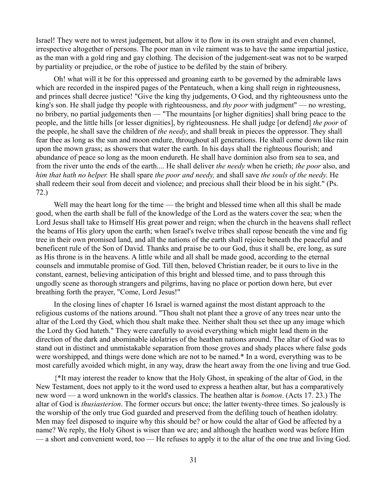Israel! They were not to wrest judgement, but allow it to flow in its own straight and even channel, irrespective altogether of persons. The poor man in vile raiment was to have the same impartial justice, as the man with a gold ring and gay clothing. The decision of the judgement-seat was not to be warped by partiality or prejudice, or the robe of justice to be defiled by the stain of bribery.

Oh! what will it be for this oppressed and groaning earth to be governed by the admirable laws which are recorded in the inspired pages of the Pentateuch, when a king shall reign in righteousness, and princes shall decree justice! "Give the king thy judgements, O God, and thy righteousness unto the king's son. He shall judge thy people with righteousness, and *thy poor* with judgment" — no wresting, no bribery, no partial judgements then — "The mountains [or higher dignities] shall bring peace to the people, and the little hills [or lesser dignities], by righteousness. He shall judge [or defend] *the poor* of the people, he shall save the children of *the needy*, and shall break in pieces the oppressor. They shall fear thee as long as the sun and moon endure, throughout all generations. He shall come down like rain upon the mown grass; as showers that water the earth. In his days shall the righteous flourish; and abundance of peace so long as the moon endureth. He shall have dominion also from sea to sea, and from the river unto the ends of the earth.... He shall deliver *the needy* when he crieth; *the poor* also, and *him that hath no helper.* He shall spare *the poor and needy,* and shall save *the souls of the needy*. He shall redeem their soul from deceit and violence; and precious shall their blood be in his sight." (Ps. 72.)

Well may the heart long for the time — the bright and blessed time when all this shall be made good, when the earth shall be full of the knowledge of the Lord as the waters cover the sea; when the Lord Jesus shall take to Himself His great power and reign; when the church in the heavens shall reflect the beams of His glory upon the earth; when Israel's twelve tribes shall repose beneath the vine and fig tree in their own promised land, and all the nations of the earth shall rejoice beneath the peaceful and beneficent rule of the Son of David. Thanks and praise be to our God, thus it shall be, ere long, as sure as His throne is in the heavens. A little while and all shall be made good, according to the eternal counsels and immutable promise of God. Till then, beloved Christian reader, be it ours to live in the constant, earnest, believing anticipation of this bright and blessed time, and to pass through this ungodly scene as thorough strangers and pilgrims, having no place or portion down here, but ever breathing forth the prayer, "Come, Lord Jesus!"

In the closing lines of chapter 16 Israel is warned against the most distant approach to the religious customs of the nations around. "Thou shalt not plant thee a grove of any trees near unto the altar of the Lord thy God, which thou shalt make thee. Neither shalt thou set thee up any image which the Lord thy God hateth." They were carefully to avoid everything which might lead them in the direction of the dark and abominable idolatries of the heathen nations around. The altar of God was to stand out in distinct and unmistakable separation from those groves and shady places where false gods were worshipped, and things were done which are not to be named.\* In a word, everything was to be most carefully avoided which might, in any way, draw the heart away from the one living and true God.

{\*It may interest the reader to know that the Holy Ghost, in speaking of the altar of God, in the New Testament, does not apply to it the word used to express a heathen altar, but has a comparatively new word — a word unknown in the world's classics. The heathen altar is *bomon*. (Acts 17. 23.) The altar of God is *thusiasterion*. The former occurs but once; the latter twenty-three times. So jealously is the worship of the only true God guarded and preserved from the defiling touch of heathen idolatry. Men may feel disposed to inquire why this should be? or how could the altar of God be affected by a name? We reply, the Holy Ghost is wiser than we are; and although the heathen word was before Him — a short and convenient word, too — He refuses to apply it to the altar of the one true and living God.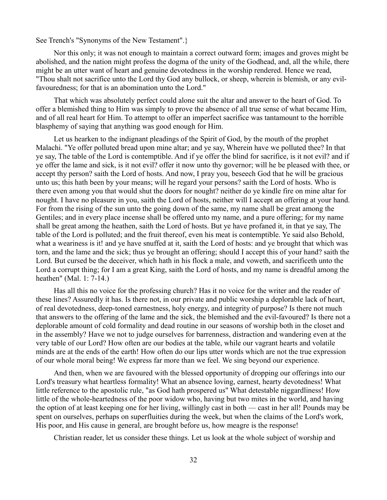See Trench's "Synonyms of the New Testament".}

Nor this only; it was not enough to maintain a correct outward form; images and groves might be abolished, and the nation might profess the dogma of the unity of the Godhead, and, all the while, there might be an utter want of heart and genuine devotedness in the worship rendered. Hence we read, "Thou shalt not sacrifice unto the Lord thy God any bullock, or sheep, wherein is blemish, or any evilfavouredness; for that is an abomination unto the Lord."

That which was absolutely perfect could alone suit the altar and answer to the heart of God. To offer a blemished thing to Him was simply to prove the absence of all true sense of what became Him, and of all real heart for Him. To attempt to offer an imperfect sacrifice was tantamount to the horrible blasphemy of saying that anything was good enough for Him.

Let us hearken to the indignant pleadings of the Spirit of God, by the mouth of the prophet Malachi. "Ye offer polluted bread upon mine altar; and ye say, Wherein have we polluted thee? In that ye say, The table of the Lord is contemptible. And if ye offer the blind for sacrifice, is it not evil? and if ye offer the lame and sick, is it not evil? offer it now unto thy governor; will he be pleased with thee, or accept thy person? saith the Lord of hosts. And now, I pray you, beseech God that he will be gracious unto us; this hath been by your means; will he regard your persons? saith the Lord of hosts. Who is there even among you that would shut the doors for nought? neither do ye kindle fire on mine altar for nought. I have no pleasure in you, saith the Lord of hosts, neither will I accept an offering at your hand. For from the rising of the sun unto the going down of the same, my name shall be great among the Gentiles; and in every place incense shall be offered unto my name, and a pure offering; for my name shall be great among the heathen, saith the Lord of hosts. But ye have profaned it, in that ye say, The table of the Lord is polluted; and the fruit thereof, even his meat is contemptible. Ye said also Behold, what a weariness is it! and ye have snuffed at it, saith the Lord of hosts: and ye brought that which was torn, and the lame and the sick; thus ye brought an offering; should I accept this of your hand? saith the Lord. But cursed be the deceiver, which hath in his flock a male, and voweth, and sacrificeth unto the Lord a corrupt thing; for I am a great King, saith the Lord of hosts, and my name is dreadful among the heathen" (Mal. 1: 7-14.)

Has all this no voice for the professing church? Has it no voice for the writer and the reader of these lines? Assuredly it has. Is there not, in our private and public worship a deplorable lack of heart, of real devotedness, deep-toned earnestness, holy energy, and integrity of purpose? Is there not much that answers to the offering of the lame and the sick, the blemished and the evil-favoured? Is there not a deplorable amount of cold formality and dead routine in our seasons of worship both in the closet and in the assembly? Have we not to judge ourselves for barrenness, distraction and wandering even at the very table of our Lord? How often are our bodies at the table, while our vagrant hearts and volatile minds are at the ends of the earth! How often do our lips utter words which are not the true expression of our whole moral being! We express far more than we feel. We sing beyond our experience.

And then, when we are favoured with the blessed opportunity of dropping our offerings into our Lord's treasury what heartless formality! What an absence loving, earnest, hearty devotedness! What little reference to the apostolic rule, "as God hath prospered us" What detestable niggardliness! How little of the whole-heartedness of the poor widow who, having but two mites in the world, and having the option of at least keeping one for her living, willingly cast in both — cast in her all! Pounds may be spent on ourselves, perhaps on superfluities during the week, but when the claims of the Lord's work, His poor, and His cause in general, are brought before us, how meagre is the response!

Christian reader, let us consider these things. Let us look at the whole subject of worship and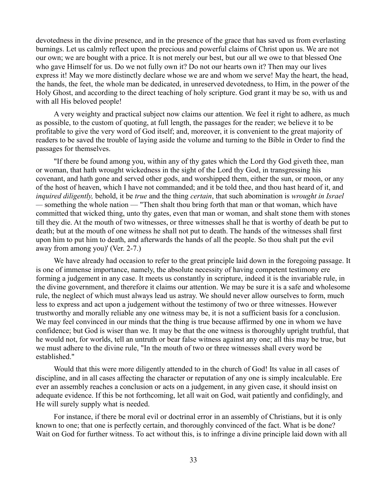devotedness in the divine presence, and in the presence of the grace that has saved us from everlasting burnings. Let us calmly reflect upon the precious and powerful claims of Christ upon us. We are not our own; we are bought with a price. It is not merely our best, but our all we owe to that blessed One who gave Himself for us. Do we not fully own it? Do not our hearts own it? Then may our lives express it! May we more distinctly declare whose we are and whom we serve! May the heart, the head, the hands, the feet, the whole man be dedicated, in unreserved devotedness, to Him, in the power of the Holy Ghost, and according to the direct teaching of holy scripture. God grant it may be so, with us and with all His beloved people!

A very weighty and practical subject now claims our attention. We feel it right to adhere, as much as possible, to the custom of quoting, at full length, the passages for the reader; we believe it to be profitable to give the very word of God itself; and, moreover, it is convenient to the great majority of readers to be saved the trouble of laying aside the volume and turning to the Bible in Order to find the passages for themselves.

"If there be found among you, within any of thy gates which the Lord thy God giveth thee, man or woman, that hath wrought wickedness in the sight of the Lord thy God, in transgressing his covenant, and hath gone and served other gods, and worshipped them, either the sun, or moon, or any of the host of heaven, which I have not commanded; and it be told thee, and thou hast heard of it, and *inquired diligently,* behold, it be *true* and the thing *certain*, that such abomination is *wrought in Israel —* something the whole nation — "Then shalt thou bring forth that man or that woman, which have committed that wicked thing, unto thy gates, even that man or woman, and shalt stone them with stones till they die. At the mouth of two witnesses, or three witnesses shall he that is worthy of death be put to death; but at the mouth of one witness he shall not put to death. The hands of the witnesses shall first upon him to put him to death, and afterwards the hands of all the people. So thou shalt put the evil away from among you)' (Ver. 2-7.)

We have already had occasion to refer to the great principle laid down in the foregoing passage. It is one of immense importance, namely, the absolute necessity of having competent testimony ere forming a judgement in any case. It meets us constantly in scripture, indeed it is the invariable rule, in the divine government, and therefore it claims our attention. We may be sure it is a safe and wholesome rule, the neglect of which must always lead us astray. We should never allow ourselves to form, much less to express and act upon a judgement without the testimony of two or three witnesses. However trustworthy and morally reliable any one witness may be, it is not a sufficient basis for a conclusion. We may feel convinced in our minds that the thing is true because affirmed by one in whom we have confidence; but God is wiser than we. It may be that the one witness is thoroughly upright truthful, that he would not, for worlds, tell an untruth or bear false witness against any one; all this may be true, but we must adhere to the divine rule, "In the mouth of two or three witnesses shall every word be established."

Would that this were more diligently attended to in the church of God! Its value in all cases of discipline, and in all cases affecting the character or reputation of any one is simply incalculable. Ere ever an assembly reaches a conclusion or acts on a judgement, in any given case, it should insist on adequate evidence. If this be not forthcoming, let all wait on God, wait patiently and confidingly, and He will surely supply what is needed.

For instance, if there be moral evil or doctrinal error in an assembly of Christians, but it is only known to one; that one is perfectly certain, and thoroughly convinced of the fact. What is be done? Wait on God for further witness. To act without this, is to infringe a divine principle laid down with all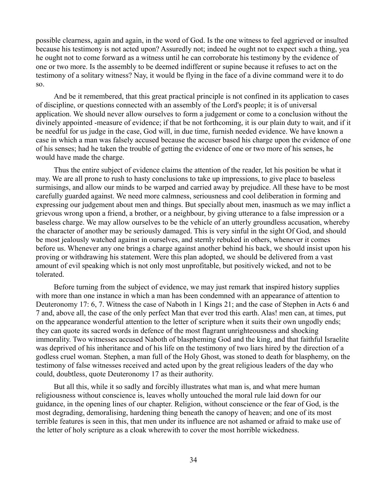possible clearness, again and again, in the word of God. Is the one witness to feel aggrieved or insulted because his testimony is not acted upon? Assuredly not; indeed he ought not to expect such a thing, yea he ought not to come forward as a witness until he can corroborate his testimony by the evidence of one or two more. Is the assembly to be deemed indifferent or supine because it refuses to act on the testimony of a solitary witness? Nay, it would be flying in the face of a divine command were it to do so.

And be it remembered, that this great practical principle is not confined in its application to cases of discipline, or questions connected with an assembly of the Lord's people; it is of universal application. We should never allow ourselves to form a judgement or come to a conclusion without the divinely appointed -measure of evidence; if that be not forthcoming, it is our plain duty to wait, and if it be needful for us judge in the case, God will, in due time, furnish needed evidence. We have known a case in which a man was falsely accused because the accuser based his charge upon the evidence of one of his senses; had he taken the trouble of getting the evidence of one or two more of his senses, he would have made the charge.

Thus the entire subject of evidence claims the attention of the reader, let his position be what it may. We are all prone to rush to hasty conclusions to take up impressions, to give place to baseless surmisings, and allow our minds to be warped and carried away by prejudice. All these have to be most carefully guarded against. We need more calmness, seriousness and cool deliberation in forming and expressing our judgement about men and things. But specially about men, inasmuch as we may inflict a grievous wrong upon a friend, a brother, or a neighbour, by giving utterance to a false impression or a baseless charge. We may allow ourselves to be the vehicle of an utterly groundless accusation, whereby the character of another may be seriously damaged. This is very sinful in the sight Of God, and should be most jealously watched against in ourselves, and sternly rebuked in others, whenever it comes before us. Whenever any one brings a charge against another behind his back, we should insist upon his proving or withdrawing his statement. Were this plan adopted, we should be delivered from a vast amount of evil speaking which is not only most unprofitable, but positively wicked, and not to be tolerated.

Before turning from the subject of evidence, we may just remark that inspired history supplies with more than one instance in which a man has been condemned with an appearance of attention to Deuteronomy 17: 6, 7. Witness the case of Naboth in 1 Kings 21; and the case of Stephen in Acts 6 and 7 and, above all, the case of the only perfect Man that ever trod this earth. Alas! men can, at times, put on the appearance wonderful attention to the letter of scripture when it suits their own ungodly ends; they can quote its sacred words in defence of the most flagrant unrighteousness and shocking immorality. Two witnesses accused Naboth of blaspheming God and the king, and that faithful Israelite was deprived of his inheritance and of his life on the testimony of two liars hired by the direction of a godless cruel woman. Stephen, a man full of the Holy Ghost, was stoned to death for blasphemy, on the testimony of false witnesses received and acted upon by the great religious leaders of the day who could, doubtless, quote Deuteronomy 17 as their authority.

But all this, while it so sadly and forcibly illustrates what man is, and what mere human religiousness without conscience is, leaves wholly untouched the moral rule laid down for our guidance, in the opening lines of our chapter. Religion, without conscience or the fear of God, is the most degrading, demoralising, hardening thing beneath the canopy of heaven; and one of its most terrible features is seen in this, that men under its influence are not ashamed or afraid to make use of the letter of holy scripture as a cloak wherewith to cover the most horrible wickedness.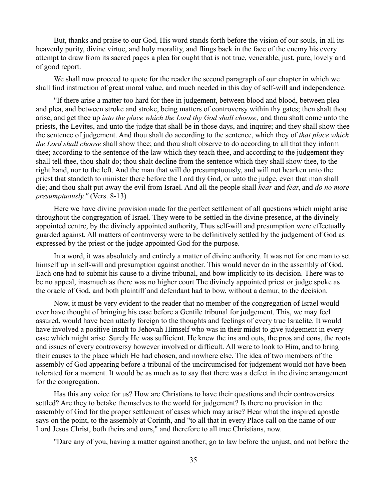But, thanks and praise to our God, His word stands forth before the vision of our souls, in all its heavenly purity, divine virtue, and holy morality, and flings back in the face of the enemy his every attempt to draw from its sacred pages a plea for ought that is not true, venerable, just, pure, lovely and of good report.

We shall now proceed to quote for the reader the second paragraph of our chapter in which we shall find instruction of great moral value, and much needed in this day of self-will and independence.

"If there arise a matter too hard for thee in judgement, between blood and blood, between plea and plea, and between stroke and stroke, being matters of controversy within thy gates; then shalt thou arise, and get thee up *into the place which the Lord thy God shall choose;* and thou shalt come unto the priests, the Levites, and unto the judge that shall be in those days, and inquire; and they shall show thee the sentence of judgement. And thou shalt do according to the sentence, which they of *that place which the Lord shall choose* shall show thee; and thou shalt observe to do according to all that they inform thee; according to the sentence of the law which they teach thee, and according to the judgement they shall tell thee, thou shalt do; thou shalt decline from the sentence which they shall show thee, to the right hand, nor to the left. And the man that will do presumptuously, and will not hearken unto the priest that standeth to minister there before the Lord thy God, or unto the judge, even that man shall die; and thou shalt put away the evil from Israel. And all the people shall *hear* and *fear*, and *do no more presumptuously."* (Vers. 8-13)

Here we have divine provision made for the perfect settlement of all questions which might arise throughout the congregation of Israel. They were to be settled in the divine presence, at the divinely appointed centre, by the divinely appointed authority, Thus self-will and presumption were effectually guarded against. All matters of controversy were to be definitively settled by the judgement of God as expressed by the priest or the judge appointed God for the purpose.

In a word, it was absolutely and entirely a matter of divine authority. It was not for one man to set himself up in self-will and presumption against another. This would never do in the assembly of God. Each one had to submit his cause to a divine tribunal, and bow implicitly to its decision. There was to be no appeal, inasmuch as there was no higher court The divinely appointed priest or judge spoke as the oracle of God, and both plaintiff and defendant had to bow, without a demur, to the decision.

Now, it must be very evident to the reader that no member of the congregation of Israel would ever have thought of bringing his case before a Gentile tribunal for judgement. This, we may feel assured, would have been utterly foreign to the thoughts and feelings of every true Israelite. It would have involved a positive insult to Jehovah Himself who was in their midst to give judgement in every case which might arise. Surely He was sufficient. He knew the ins and outs, the pros and cons, the roots and issues of every controversy however involved or difficult. All were to look to Him, and to bring their causes to the place which He had chosen, and nowhere else. The idea of two members of the assembly of God appearing before a tribunal of the uncircumcised for judgement would not have been tolerated for a moment. It would be as much as to say that there was a defect in the divine arrangement for the congregation.

Has this any voice for us? How are Christians to have their questions and their controversies settled? Are they to betake themselves to the world for judgement? Is there no provision in the assembly of God for the proper settlement of cases which may arise? Hear what the inspired apostle says on the point, to the assembly at Corinth, and "to all that in every Place call on the name of our Lord Jesus Christ, both theirs and ours," and therefore to all true Christians, now.

"Dare any of you, having a matter against another; go to law before the unjust, and not before the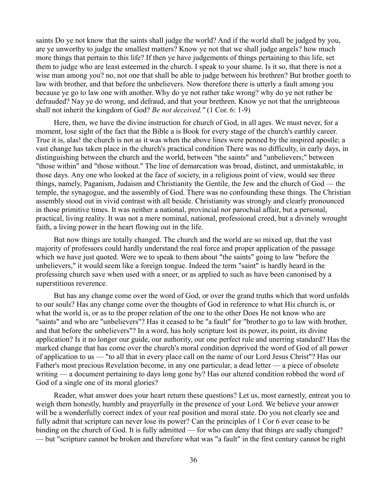saints Do ye not know that the saints shall judge the world? And if the world shall be judged by you, are ye unworthy to judge the smallest matters? Know ye not that we shall judge angels? how much more things that pertain to this life? If then ye have judgements of things pertaining to this life, set them to judge who are least esteemed in the church. I speak to your shame. Is it so, that there is not a wise man among you? no, not one that shall be able to judge between his brethren? But brother goeth to law with brother, and that before the unbelievers. Now therefore there is utterly a fault among you because ye go to law one with another. Why do ye not rather take wrong? why do ye not rather be defrauded? Nay ye do wrong, and defraud, and that your brethren. Know ye not that the unrighteous shall not inherit the kingdom of God? *Be not deceived."* (1 Cor. 6: 1-9)

Here, then, we have the divine instruction for church of God, in all ages. We must never, for a moment, lose sight of the fact that the Bible a is Book for every stage of the church's earthly career. True it is, alas! the church is not as it was when the above lines were penned by the inspired apostle; a vast change has taken place in the church's practical condition There was no difficulty, in early days, in distinguishing between the church and the world, between "the saints" and "unbelievers;" between "those within" and "those without." The line of demarcation was broad, distinct, and unmistakable, in those days. Any one who looked at the face of society, in a religious point of view, would see three things, namely, Paganism, Judaism and Christianity the Gentile, the Jew and the church of God — the temple, the synagogue, and the assembly of God. There was no confounding these things. The Christian assembly stood out in vivid contrast with all beside. Christianity was strongly and clearly pronounced in those primitive times. It was neither a national, provincial nor parochial affair, but a personal, practical, living reality. It was not a mere nominal, national, professional creed, but a divinely wrought faith, a living power in the heart flowing out in the life.

But now things are totally changed. The church and the world are so mixed up, that the vast majority of professors could hardly understand the real force and proper application of the passage which we have just quoted. Were we to speak to them about "the saints" going to law "before the unbelievers," it would seem like a foreign tongue. Indeed the term "saint" is hardly heard in the professing church save when used with a sneer, or as applied to such as have been canonised by a superstitious reverence.

But has any change come over the word of God, or over the grand truths which that word unfolds to our souls? Has any change come over the thoughts of God in reference to what His church is, or what the world is, or as to the proper relation of the one to the other Does He not know who are "saints" and who are "unbelievers"? Has it ceased to be "a fault" for "brother to go to law with brother, and that before the unbelievers"? In a word, has holy scripture lost its power, its point, its divine application? Is it no longer our guide, our authority, our one perfect rule and unerring standard? Has the marked change that has come over the church's moral condition deprived the word of God of all power of application to us — "to all that in every place call on the name of our Lord Jesus Christ"? Has our Father's most precious Revelation become, in any one particular, a dead letter — a piece of obsolete writing — a document pertaining to days long gone by? Has our altered condition robbed the word of God of a single one of its moral glories?

Reader, what answer does your heart return these questions? Let us, most earnestly, entreat you to weigh them honestly, humbly and prayerfully in the presence of your Lord. We believe your answer will be a wonderfully correct index of your real position and moral state. Do you not clearly see and fully admit that scripture can never lose its power? Can the principles of 1 Cor 6 ever cease to be binding on the church of God. It is fully admitted — for who can deny that things are sadly changed? — but "scripture cannot be broken and therefore what was "a fault" in the first century cannot be right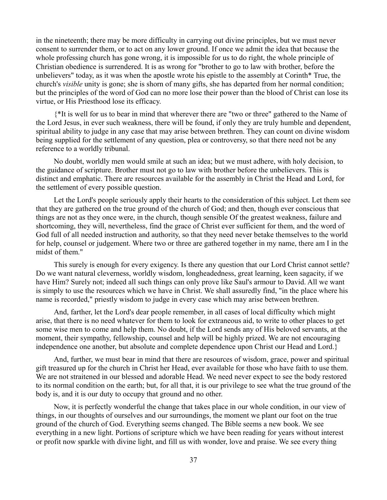in the nineteenth; there may be more difficulty in carrying out divine principles, but we must never consent to surrender them, or to act on any lower ground. If once we admit the idea that because the whole professing church has gone wrong, it is impossible for us to do right, the whole principle of Christian obedience is surrendered. It is as wrong for "brother to go to law with brother, before the unbelievers" today, as it was when the apostle wrote his epistle to the assembly at Corinth\* True, the church's *visible* unity is gone; she is shorn of many gifts, she has departed from her normal condition; but the principles of the word of God can no more lose their power than the blood of Christ can lose its virtue, or His Priesthood lose its efficacy.

{\*It is well for us to bear in mind that wherever there are "two or three" gathered to the Name of the Lord Jesus, in ever such weakness, there will be found, if only they are truly humble and dependent, spiritual ability to judge in any case that may arise between brethren. They can count on divine wisdom being supplied for the settlement of any question, plea or controversy, so that there need not be any reference to a worldly tribunal.

No doubt, worldly men would smile at such an idea; but we must adhere, with holy decision, to the guidance of scripture. Brother must not go to law with brother before the unbelievers. This is distinct and emphatic. There are resources available for the assembly in Christ the Head and Lord, for the settlement of every possible question.

Let the Lord's people seriously apply their hearts to the consideration of this subject. Let them see that they are gathered on the true ground of the church of God; and then, though ever conscious that things are not as they once were, in the church, though sensible Of the greatest weakness, failure and shortcoming, they will, nevertheless, find the grace of Christ ever sufficient for them, and the word of God full of all needed instruction and authority, so that they need never betake themselves to the world for help, counsel or judgement. Where two or three are gathered together in my name, there am I in the midst of them."

This surely is enough for every exigency. Is there any question that our Lord Christ cannot settle? Do we want natural cleverness, worldly wisdom, longheadedness, great learning, keen sagacity, if we have Him? Surely not; indeed all such things can only prove like Saul's armour to David. All we want is simply to use the resources which we have in Christ. We shall assuredly find, "in the place where his name is recorded," priestly wisdom to judge in every case which may arise between brethren.

And, farther, let the Lord's dear people remember, in all cases of local difficulty which might arise, that there is no need whatever for them to look for extraneous aid, to write to other places to get some wise men to come and help them. No doubt, if the Lord sends any of His beloved servants, at the moment, their sympathy, fellowship, counsel and help will be highly prized. We are not encouraging independence one another, but absolute and complete dependence upon Christ our Head and Lord.}

And, further, we must bear in mind that there are resources of wisdom, grace, power and spiritual gift treasured up for the church in Christ her Head, ever available for those who have faith to use them. We are not straitened in our blessed and adorable Head. We need never expect to see the body restored to its normal condition on the earth; but, for all that, it is our privilege to see what the true ground of the body is, and it is our duty to occupy that ground and no other.

Now, it is perfectly wonderful the change that takes place in our whole condition, in our view of things, in our thoughts of ourselves and our surroundings, the moment we plant our foot on the true ground of the church of God. Everything seems changed. The Bible seems a new book. We see everything in a new light. Portions of scripture which we have been reading for years without interest or profit now sparkle with divine light, and fill us with wonder, love and praise. We see every thing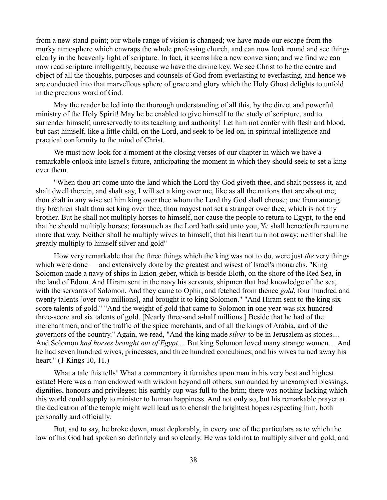from a new stand-point; our whole range of vision is changed; we have made our escape from the murky atmosphere which enwraps the whole professing church, and can now look round and see things clearly in the heavenly light of scripture. In fact, it seems like a new conversion; and we find we can now read scripture intelligently, because we have the divine key. We see Christ to be the centre and object of all the thoughts, purposes and counsels of God from everlasting to everlasting, and hence we are conducted into that marvellous sphere of grace and glory which the Holy Ghost delights to unfold in the precious word of God.

May the reader be led into the thorough understanding of all this, by the direct and powerful ministry of the Holy Spirit! May he be enabled to give himself to the study of scripture, and to surrender himself, unreservedly to its teaching and authority! Let him not confer with flesh and blood, but cast himself, like a little child, on the Lord, and seek to be led on, in spiritual intelligence and practical conformity to the mind of Christ.

We must now look for a moment at the closing verses of our chapter in which we have a remarkable onlook into Israel's future, anticipating the moment in which they should seek to set a king over them.

"When thou art come unto the land which the Lord thy God giveth thee, and shalt possess it, and shalt dwell therein, and shalt say, I will set a king over me, like as all the nations that are about me; thou shalt in any wise set him king over thee whom the Lord thy God shall choose; one from among thy brethren shalt thou set king over thee; thou mayest not set a stranger over thee, which is not thy brother. But he shall not multiply horses to himself, nor cause the people to return to Egypt, to the end that he should multiply horses; forasmuch as the Lord hath said unto you, Ye shall henceforth return no more that way. Neither shall he multiply wives to himself, that his heart turn not away; neither shall he greatly multiply to himself silver and gold"

How very remarkable that the three things which the king was not to do, were just *the* very things which were done — and extensively done by the greatest and wisest of Israel's monarchs. "King" Solomon made a navy of ships in Ezion-geber, which is beside Eloth, on the shore of the Red Sea, in the land of Edom. And Hiram sent in the navy his servants, shipmen that had knowledge of the sea, with the servants of Solomon. And they came to Ophir, and fetched from thence *gold*, four hundred and twenty talents [over two millions], and brought it to king Solomon." "And Hiram sent to the king sixscore talents of gold." "And the weight of gold that came to Solomon in one year was six hundred three-score and six talents of gold. [Nearly three-and a-half millions.] Beside that he had of the merchantmen, and of the traffic of the spice merchants, and of all the kings of Arabia, and of the governors of the country." Again, we read, "And the king made *silver* to be in Jerusalem as stones.... And Solomon *had horses brought out of Egypt....* But king Solomon loved many strange women.... And he had seven hundred wives, princesses, and three hundred concubines; and his wives turned away his heart." (1 Kings 10, 11.)

What a tale this tells! What a commentary it furnishes upon man in his very best and highest estate! Here was a man endowed with wisdom beyond all others, surrounded by unexampled blessings, dignities, honours and privileges; his earthly cup was full to the brim; there was nothing lacking which this world could supply to minister to human happiness. And not only so, but his remarkable prayer at the dedication of the temple might well lead us to cherish the brightest hopes respecting him, both personally and officially.

But, sad to say, he broke down, most deplorably, in every one of the particulars as to which the law of his God had spoken so definitely and so clearly. He was told not to multiply silver and gold, and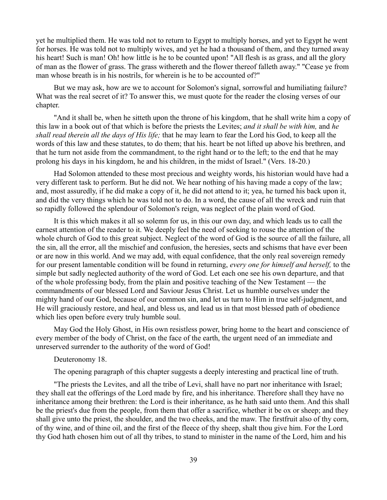yet he multiplied them. He was told not to return to Egypt to multiply horses, and yet to Egypt he went for horses. He was told not to multiply wives, and yet he had a thousand of them, and they turned away his heart! Such is man! Oh! how little is he to be counted upon! "All flesh is as grass, and all the glory of man as the flower of grass. The grass withereth and the flower thereof falleth away." "Cease ye from man whose breath is in his nostrils, for wherein is he to be accounted of?"

But we may ask, how are we to account for Solomon's signal, sorrowful and humiliating failure? What was the real secret of it? To answer this, we must quote for the reader the closing verses of our chapter.

"And it shall be, when he sitteth upon the throne of his kingdom, that he shall write him a copy of this law in a book out of that which is before the priests the Levites; *and it shall be with him,* and *he shall read therein all the days of His life;* that he may learn to fear the Lord his God, to keep all the words of this law and these statutes, to do them; that his. heart be not lifted up above his brethren, and that he turn not aside from the commandment, to the right hand or to the left; to the end that he may prolong his days in his kingdom, he and his children, in the midst of Israel." (Vers. 18-20.)

Had Solomon attended to these most precious and weighty words, his historian would have had a very different task to perform. But he did not. We hear nothing of his having made a copy of the law; and, most assuredly, if he did make a copy of it, he did not attend to it; yea, he turned his back upon it, and did the very things which he was told not to do. In a word, the cause of all the wreck and ruin that so rapidly followed the splendour of Solomon's reign, was neglect of the plain word of God.

It is this which makes it all so solemn for us, in this our own day, and which leads us to call the earnest attention of the reader to it. We deeply feel the need of seeking to rouse the attention of the whole church of God to this great subject. Neglect of the word of God is the source of all the failure, all the sin, all the error, all the mischief and confusion, the heresies, sects and schisms that have ever been or are now in this world. And we may add, with equal confidence, that the only real sovereign remedy for our present lamentable condition will be found in returning, *every one for himself and herself,* to the simple but sadly neglected authority of the word of God. Let each one see his own departure, and that of the whole professing body, from the plain and positive teaching of the New Testament — the commandments of our blessed Lord and Saviour Jesus Christ. Let us humble ourselves under the mighty hand of our God, because of our common sin, and let us turn to Him in true self-judgment, and He will graciously restore, and heal, and bless us, and lead us in that most blessed path of obedience which lies open before every truly humble soul.

May God the Holy Ghost, in His own resistless power, bring home to the heart and conscience of every member of the body of Christ, on the face of the earth, the urgent need of an immediate and unreserved surrender to the authority of the word of God!

## Deuteronomy 18.

The opening paragraph of this chapter suggests a deeply interesting and practical line of truth.

"The priests the Levites, and all the tribe of Levi, shall have no part nor inheritance with Israel; they shall eat the offerings of the Lord made by fire, and his inheritance. Therefore shall they have no inheritance among their brethren: the Lord is their inheritance, as he hath said unto them. And this shall be the priest's due from the people, from them that offer a sacrifice, whether it be ox or sheep; and they shall give unto the priest, the shoulder, and the two cheeks, and the maw. The firstfruit also of thy corn, of thy wine, and of thine oil, and the first of the fleece of thy sheep, shalt thou give him. For the Lord thy God hath chosen him out of all thy tribes, to stand to minister in the name of the Lord, him and his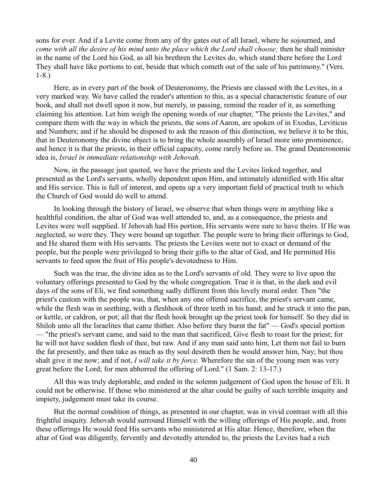sons for ever. And if a Levite come from any of thy gates out of all Israel, where he sojourned, and *come with all the desire of his mind unto the place which the Lord shall choose;* then he shall minister in the name of the Lord his God, as all his brethren the Levites do, which stand there before the Lord They shall have like portions to eat, beside that which cometh out of the sale of his patrimony." (Vers. 1-8.)

Here, as in every part of the book of Deuteronomy, the Priests are classed with the Levites, in a very marked way. We have called the reader's attention to this, as a special characteristic feature of our book, and shall not dwell upon it now, but merely, in passing, remind the reader of it, as something claiming his attention. Let him weigh the opening words of our chapter, "The priests the Levites," and compare them with the way in which the priests, the sons of Aaron, are spoken of in Exodus, Leviticus and Numbers; and if he should be disposed to ask the reason of this distinction, we believe it to be this, that in Deuteronomy the divine object is to bring the whole assembly of Israel more into prominence, and hence it is that the priests, in their official capacity, come rarely before us. The grand Deuteronomic idea is, *Israel in immediate relationship with Jehovah.*

Now, in the passage just quoted, we have the priests and the Levites linked together, and presented as the Lord's servants, wholly dependent upon Him, and intimately identified with His altar and His service. This is full of interest, and opens up a very important field of practical truth to which the Church of God would do well to attend.

In looking through the history of Israel, we observe that when things were in anything like a healthful condition, the altar of God was well attended to, and, as a consequence, the priests and Levites were well supplied. If Jehovah had His portion, His servants were sure to have theirs. If He was neglected, so were they. They were bound up together. The people were to bring their offerings to God, and He shared them with His servants. The priests the Levites were not to exact or demand of the people, but the people were privileged to bring their gifts to the altar of God, and He permitted His servants to feed upon the fruit of His people's devotedness to Him.

Such was the true, the divine idea as to the Lord's servants of old. They were to live upon the voluntary offerings presented to God by the whole congregation. True it is that, in the dark and evil days of the sons of Eli, we find something sadly different from this lovely moral order. Then "the priest's custom with the people was, that, when any one offered sacrifice, the priest's servant came, while the flesh was in seething, with a fleshhook of three teeth in his hand; and he struck it into the pan, or kettle, or caldron, or pot; all that the flesh hook brought up the priest took for himself. So they did in Shiloh unto all the Israelites that came thither. Also before they burnt the fat" — God's special portion — "the priest's servant came, and said to the man that sacrificed, Give flesh to roast for the priest; for he will not have sodden flesh of thee, but raw. And if any man said unto him, Let them not fail to burn the fat presently, and then take as much as thy soul desireth then he would answer him, Nay; but thou shalt give it me now; and if not, *I will take it by force.* Wherefore the sin of the young men was very great before the Lord; for men abhorred the offering of Lord." (1 Sam. 2: 13-17.)

All this was truly deplorable, and ended in the solemn judgement of God upon the house of Eli. It could not be otherwise. If those who ministered at the altar could be guilty of such terrible iniquity and impiety, judgement must take its course.

But the normal condition of things, as presented in our chapter, was in vivid contrast with all this frightful iniquity. Jehovah would surround Himself with the willing offerings of His people, and, from these offerings He would feed His servants who ministered at His altar. Hence, therefore, when the altar of God was diligently, fervently and devotedly attended to, the priests the Levites had a rich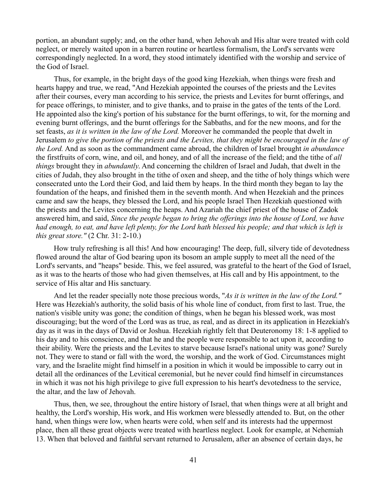portion, an abundant supply; and, on the other hand, when Jehovah and His altar were treated with cold neglect, or merely waited upon in a barren routine or heartless formalism, the Lord's servants were correspondingly neglected. In a word, they stood intimately identified with the worship and service of the God of Israel.

Thus, for example, in the bright days of the good king Hezekiah, when things were fresh and hearts happy and true, we read, "And Hezekiah appointed the courses of the priests and the Levites after their courses, every man according to his service, the priests and Levites for burnt offerings, and for peace offerings, to minister, and to give thanks, and to praise in the gates of the tents of the Lord. He appointed also the king's portion of his substance for the burnt offerings, to wit, for the morning and evening burnt offerings, and the burnt offerings for the Sabbaths, and for the new moons, and for the set feasts, *as it is written in the law of the Lord.* Moreover he commanded the people that dwelt in Jerusalem *to give the portion of the priests and the Levites, that they might be encouraged in the law of the Lord.* And as soon as the commandment came abroad, the children of Israel brought *in abundance* the firstfruits of corn, wine, and oil, and honey, and of all the increase of the field; and the tithe of *all things* brought they in *abundantly*. And concerning the children of Israel and Judah, that dwelt in the cities of Judah, they also brought in the tithe of oxen and sheep, and the tithe of holy things which were consecrated unto the Lord their God, and laid them by heaps. In the third month they began to lay the foundation of the heaps, and finished them in the seventh month. And when Hezekiah and the princes came and saw the heaps, they blessed the Lord, and his people Israel Then Hezekiah questioned with the priests and the Levites concerning the heaps. And Azariah the chief priest of the house of Zadok answered him, and said, *Since the people began to bring the offerings into the house of Lord, we have had enough, to eat, and have left plenty, for the Lord hath blessed his people; and that which is left is this great store."* (2 Chr. 31: 2-10.)

How truly refreshing is all this! And how encouraging! The deep, full, silvery tide of devotedness flowed around the altar of God bearing upon its bosom an ample supply to meet all the need of the Lord's servants, and "heaps" beside. This, we feel assured, was grateful to the heart of the God of Israel, as it was to the hearts of those who had given themselves, at His call and by His appointment, to the service of His altar and His sanctuary.

And let the reader specially note those precious words, "*As it is written in the law of the Lord."* Here was Hezekiah's authority, the solid basis of his whole line of conduct, from first to last. True, the nation's visible unity was gone; the condition of things, when he began his blessed work, was most discouraging; but the word of the Lord was as true, as real, and as direct in its application in Hezekiah's day as it was in the days of David or Joshua. Hezekiah rightly felt that Deuteronomy 18: 1-8 applied to his day and to his conscience, and that he and the people were responsible to act upon it, according to their ability. Were the priests and the Levites to starve because Israel's national unity was gone? Surely not. They were to stand or fall with the word, the worship, and the work of God. Circumstances might vary, and the Israelite might find himself in a position in which it would be impossible to carry out in detail all the ordinances of the Levitical ceremonial, but he never could find himself in circumstances in which it was not his high privilege to give full expression to his heart's devotedness to the service, the altar, and the law of Jehovah.

Thus, then, we see, throughout the entire history of Israel, that when things were at all bright and healthy, the Lord's worship, His work, and His workmen were blessedly attended to. But, on the other hand, when things were low, when hearts were cold, when self and its interests had the uppermost place, then all these great objects were treated with heartless neglect. Look for example, at Nehemiah 13. When that beloved and faithful servant returned to Jerusalem, after an absence of certain days, he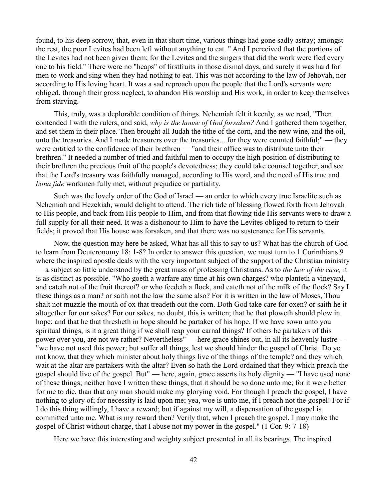found, to his deep sorrow, that, even in that short time, various things had gone sadly astray; amongst the rest, the poor Levites had been left without anything to eat. " And I perceived that the portions of the Levites had not been given them; for the Levites and the singers that did the work were fled every one to his field." There were no "heaps" of firstfruits in those dismal days, and surely it was hard for men to work and sing when they had nothing to eat. This was not according to the law of Jehovah, nor according to His loving heart. It was a sad reproach upon the people that the Lord's servants were obliged, through their gross neglect, to abandon His worship and His work, in order to keep themselves from starving.

This, truly, was a deplorable condition of things. Nehemiah felt it keenly, as we read, "Then contended I with the rulers, and said, *why is the house of God forsaken?* And I gathered them together, and set them in their place. Then brought all Judah the tithe of the corn, and the new wine, and the oil, unto the treasuries. And I made treasurers over the treasuries....for they were counted faithful;" — they were entitled to the confidence of their brethren — "and their office was to distribute unto their brethren." It needed a number of tried and faithful men to occupy the high position of distributing to their brethren the precious fruit of the people's devotedness; they could take counsel together, and see that the Lord's treasury was faithfully managed, according to His word, and the need of His true and *bona fide* workmen fully met, without prejudice or partiality.

Such was the lovely order of the God of Israel — an order to which every true Israelite such as Nehemiah and Hezekiah, would delight to attend. The rich tide of blessing flowed forth from Jehovah to His people, and back from His people to Him, and from that flowing tide His servants were to draw a full supply for all their need. It was a dishonour to Him to have the Levites obliged to return to their fields; it proved that His house was forsaken, and that there was no sustenance for His servants.

Now, the question may here be asked, What has all this to say to us? What has the church of God to learn from Deuteronomy 18: 1-8? In order to answer this question, we must turn to 1 Corinthians 9 where the inspired apostle deals with the very important subject of the support of the Christian ministry — a subject so little understood by the great mass of professing Christians. As to *the law of the case,* it is as distinct as possible. "Who goeth a warfare any time at his own charges? who planteth a vineyard, and eateth not of the fruit thereof? or who feedeth a flock, and eateth not of the milk of the flock? Say I these things as a man? or saith not the law the same also? For it is written in the law of Moses, Thou shalt not muzzle the mouth of ox that treadeth out the corn. Doth God take care for oxen? or saith he it altogether for our sakes? For our sakes, no doubt, this is written; that he that ploweth should plow in hope; and that he that thresheth in hope should be partaker of his hope. If we have sown unto you spiritual things, is it a great thing if we shall reap your carnal things? If others be partakers of this power over you, are not we rather? Nevertheless" — here grace shines out, in all its heavenly lustre — "we have not used this power; but suffer all things, lest we should hinder the gospel of Christ. Do ye not know, that they which minister about holy things live of the things of the temple? and they which wait at the altar are partakers with the altar? Even so hath the Lord ordained that they which preach the gospel should live of the gospel. But" — here, again, grace asserts its holy dignity — "I have used none of these things; neither have I written these things, that it should be so done unto me; for it were better for me to die, than that any man should make my glorying void. For though I preach the gospel, I have nothing to glory of; for necessity is laid upon me; yea, woe is unto me, if I preach not the gospel! For if I do this thing willingly, I have a reward; but if against my will, a dispensation of the gospel is committed unto me. What is my reward then? Verily that, when I preach the gospel, I may make the gospel of Christ without charge, that I abuse not my power in the gospel." (1 Cor. 9: 7-18)

Here we have this interesting and weighty subject presented in all its bearings. The inspired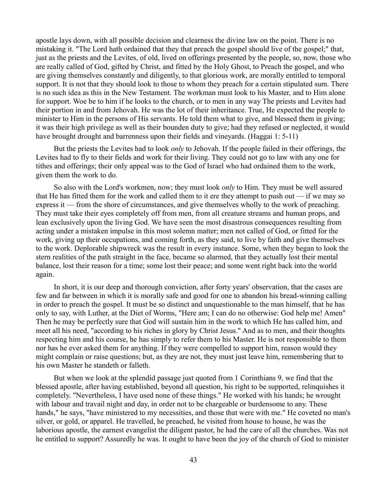apostle lays down, with all possible decision and clearness the divine law on the point. There is no mistaking it. "The Lord hath ordained that they that preach the gospel should live of the gospel;" that, just as the priests and the Levites, of old, lived on offerings presented by the people, so, now, those who are really called of God, gifted by Christ, and fitted by the Holy Ghost, to Preach the gospel, and who are giving themselves constantly and diligently, to that glorious work, are morally entitled to temporal support. It is not that they should look to those to whom they preach for a certain stipulated sum. There is no such idea as this in the New Testament. The workman must look to his Master, and to Him alone for support. Woe be to him if he looks to the church, or to men in any way The priests and Levites had their portion in and from Jehovah. He was the lot of their inheritance. True, He expected the people to minister to Him in the persons of His servants. He told them what to give, and blessed them in giving; it was their high privilege as well as their bounden duty to give; had they refused or neglected, it would have brought drought and barrenness upon their fields and vineyards. (Haggai 1: 5-11)

But the priests the Levites had to look *only* to Jehovah. If the people failed in their offerings, the Levites had to fly to their fields and work for their living. They could not go to law with any one for tithes and offerings; their only appeal was to the God of Israel who had ordained them to the work, given them the work to do.

So also with the Lord's workmen, now; they must look *only* to Him. They must be well assured that He has fitted them for the work and called them to it ere they attempt to push out — if we may so express it — from the shore of circumstances, and give themselves wholly to the work of preaching. They must take their eyes completely off from men, from all creature streams and human props, and lean exclusively upon the living God. We have seen the most disastrous consequences resulting from acting under a mistaken impulse in this most solemn matter; men not called of God, or fitted for the work, giving up their occupations, and coming forth, as they said, to live by faith and give themselves to the work. Deplorable shipwreck was the result in every instance. Some, when they began to look the stern realities of the path straight in the face, became so alarmed, that they actually lost their mental balance, lost their reason for a time; some lost their peace; and some went right back into the world again.

In short, it is our deep and thorough conviction, after forty years' observation, that the cases are few and far between in which it is morally safe and good for one to abandon his bread-winning calling in order to preach the gospel. It must be so distinct and unquestionable to the man himself, that he has only to say, with Luther, at the Diet of Worms, "Here am; I can do no otherwise: God help me! Amen" Then he may be perfectly sure that God will sustain him in the work to which He has called him, and meet all his need, "according to his riches in glory by Christ Jesus." And as to men, and their thoughts respecting him and his course, he has simply to refer them to his Master. He is not responsible to them nor has he ever asked them for anything. If they were compelled to support him, reason would they might complain or raise questions; but, as they are not, they must just leave him, remembering that to his own Master he standeth or falleth.

But when we look at the splendid passage just quoted from 1 Corinthians 9, we find that the blessed apostle, after having established, beyond all question, his right to be supported, relinquishes it completely. "Nevertheless, I have used none of these things." He worked with his hands; he wrought with labour and travail night and day, in order not to be chargeable or burdensome to any. These hands," he says, "have ministered to my necessities, and those that were with me." He coveted no man's silver, or gold, or apparel. He travelled, he preached, he visited from house to house, he was the laborious apostle, the earnest evangelist the diligent pastor, he had the care of all the churches. Was not he entitled to support? Assuredly he was. It ought to have been the joy of the church of God to minister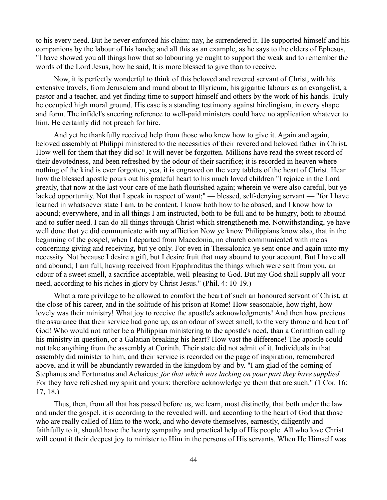to his every need. But he never enforced his claim; nay, he surrendered it. He supported himself and his companions by the labour of his hands; and all this as an example, as he says to the elders of Ephesus, "I have showed you all things how that so labouring ye ought to support the weak and to remember the words of the Lord Jesus, how he said, It is more blessed to give than to receive.

Now, it is perfectly wonderful to think of this beloved and revered servant of Christ, with his extensive travels, from Jerusalem and round about to Illyricum, his gigantic labours as an evangelist, a pastor and a teacher, and yet finding time to support himself and others by the work of his hands. Truly he occupied high moral ground. His case is a standing testimony against hirelingism, in every shape and form. The infidel's sneering reference to well-paid ministers could have no application whatever to him. He certainly did not preach for hire.

And yet he thankfully received help from those who knew how to give it. Again and again, beloved assembly at Philippi ministered to the necessities of their revered and beloved father in Christ. How well for them that they did so! It will never be forgotten. Millions have read the sweet record of their devotedness, and been refreshed by the odour of their sacrifice; it is recorded in heaven where nothing of the kind is ever forgotten, yea, it is engraved on the very tablets of the heart of Christ. Hear how the blessed apostle pours out his grateful heart to his much loved children "I rejoice in the Lord greatly, that now at the last your care of me hath flourished again; wherein ye were also careful, but ye lacked opportunity. Not that I speak in respect of want;" — blessed, self-denying servant — "for I have learned in whatsoever state I am, to be content. I know both how to be abased, and I know how to abound; everywhere, and in all things I am instructed, both to be full and to be hungry, both to abound and to suffer need. I can do all things through Christ which strengtheneth me. Notwithstanding, ye have well done that ye did communicate with my affliction Now ye know Philippians know also, that in the beginning of the gospel, when I departed from Macedonia, no church communicated with me as concerning giving and receiving, but ye only. For even in Thessalonica ye sent once and again unto my necessity. Not because I desire a gift, but I desire fruit that may abound to your account. But I have all and abound; I am full, having received from Epaphroditus the things which were sent from you, an odour of a sweet smell, a sacrifice acceptable, well-pleasing to God. But my God shall supply all your need, according to his riches in glory by Christ Jesus." (Phil. 4: 10-19.)

What a rare privilege to be allowed to comfort the heart of such an honoured servant of Christ, at the close of his career, and in the solitude of his prison at Rome! How seasonable, how right, how lovely was their ministry! What joy to receive the apostle's acknowledgments! And then how precious the assurance that their service had gone up, as an odour of sweet smell, to the very throne and heart of God! Who would not rather be a Philippian ministering to the apostle's need, than a Corinthian calling his ministry in question, or a Galatian breaking his heart? How vast the difference! The apostle could not take anything from the assembly at Corinth. Their state did not admit of it. Individuals in that assembly did minister to him, and their service is recorded on the page of inspiration, remembered above, and it will be abundantly rewarded in the kingdom by-and-by. "I am glad of the coming of Stephanus and Fortunatus and Achaicus: *for that which was lacking on your part they have supplied.* For they have refreshed my spirit and yours: therefore acknowledge ye them that are such." (1 Cor. 16: 17, 18.)

Thus, then, from all that has passed before us, we learn, most distinctly, that both under the law and under the gospel, it is according to the revealed will, and according to the heart of God that those who are really called of Him to the work, and who devote themselves, earnestly, diligently and faithfully to it, should have the hearty sympathy and practical help of His people. All who love Christ will count it their deepest joy to minister to Him in the persons of His servants. When He Himself was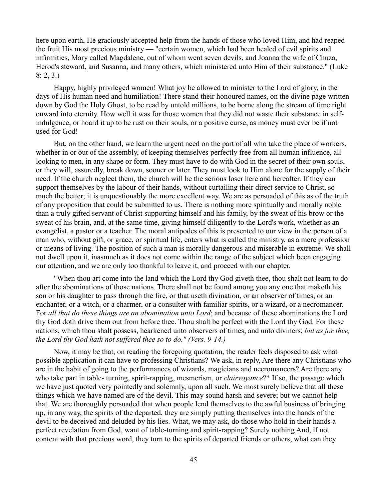here upon earth, He graciously accepted help from the hands of those who loved Him, and had reaped the fruit His most precious ministry — "certain women, which had been healed of evil spirits and infirmities, Mary called Magdalene, out of whom went seven devils, and Joanna the wife of Chuza, Herod's steward, and Susanna, and many others, which ministered unto Him of their substance." (Luke 8: 2, 3.)

Happy, highly privileged women! What joy be allowed to minister to the Lord of glory, in the days of His human need and humiliation! There stand their honoured names, on the divine page written down by God the Holy Ghost, to be read by untold millions, to be borne along the stream of time right onward into eternity. How well it was for those women that they did not waste their substance in selfindulgence, or hoard it up to be rust on their souls, or a positive curse, as money must ever be if not used for God!

But, on the other hand, we learn the urgent need on the part of all who take the place of workers, whether in or out of the assembly, of keeping themselves perfectly free from all human influence, all looking to men, in any shape or form. They must have to do with God in the secret of their own souls, or they will, assuredly, break down, sooner or later. They must look to Him alone for the supply of their need. If the church neglect them, the church will be the serious loser here and hereafter. If they can support themselves by the labour of their hands, without curtailing their direct service to Christ, so much the better; it is unquestionably the more excellent way. We are as persuaded of this as of the truth of any proposition that could be submitted to us. There is nothing more spiritually and morally noble than a truly gifted servant of Christ supporting himself and his family, by the sweat of his brow or the sweat of his brain, and, at the same time, giving himself diligently to the Lord's work, whether as an evangelist, a pastor or a teacher. The moral antipodes of this is presented to our view in the person of a man who, without gift, or grace, or spiritual life, enters what is called the ministry, as a mere profession or means of living. The position of such a man is morally dangerous and miserable in extreme. We shall not dwell upon it, inasmuch as it does not come within the range of the subject which been engaging our attention, and we are only too thankful to leave it, and proceed with our chapter.

"When thou art come into the land which the Lord thy God giveth thee, thou shalt not learn to do after the abominations of those nations. There shall not be found among you any one that maketh his son or his daughter to pass through the fire, or that useth divination, or an observer of times, or an enchanter, or a witch, or a charmer, or a consulter with familiar spirits, or a wizard, or a necromancer. For *all that do these things are an abomination unto Lord*; and because of these abominations the Lord thy God doth drive them out from before thee. Thou shalt be perfect with the Lord thy God. For these nations, which thou shalt possess, hearkened unto observers of times, and unto diviners; *but as for thee, the Lord thy God hath not suffered thee so to do." (Vers. 9-14.)*

Now, it may be that, on reading the foregoing quotation, the reader feels disposed to ask what possible application it can have to professing Christians? We ask, in reply, Are there any Christians who are in the habit of going to the performances of wizards, magicians and necromancers? Are there any who take part in table- turning, spirit-rapping, mesmerism, or *clairvoyance*?\* If so, the passage which we have just quoted very pointedly and solemnly, upon all such. We most surely believe that all these things which we have named are of the devil. This may sound harsh and severe; but we cannot help that. We are thoroughly persuaded that when people lend themselves to the awful business of bringing up, in any way, the spirits of the departed, they are simply putting themselves into the hands of the devil to be deceived and deluded by his lies. What, we may ask, do those who hold in their hands a perfect revelation from God, want of table-turning and spirit-rapping? Surely nothing And, if not content with that precious word, they turn to the spirits of departed friends or others, what can they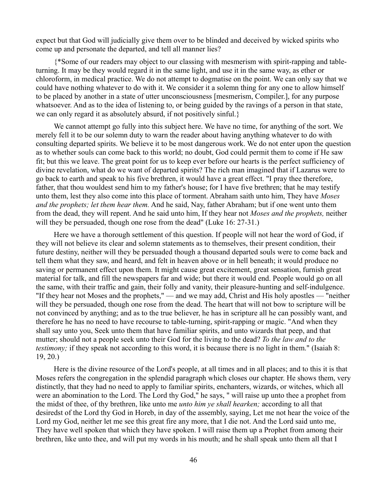expect but that God will judicially give them over to be blinded and deceived by wicked spirits who come up and personate the departed, and tell all manner lies?

{\*Some of our readers may object to our classing with mesmerism with spirit-rapping and tableturning. It may be they would regard it in the same light, and use it in the same way, as ether or chloroform, in medical practice. We do not attempt to dogmatise on the point. We can only say that we could have nothing whatever to do with it. We consider it a solemn thing for any one to allow himself to be placed by another in a state of utter unconsciousness [mesmerism, Compiler.], for any purpose whatsoever. And as to the idea of listening to, or being guided by the ravings of a person in that state, we can only regard it as absolutely absurd, if not positively sinful.}

We cannot attempt go fully into this subject here. We have no time, for anything of the sort. We merely fell it to be our solemn duty to warn the reader about having anything whatever to do with consulting departed spirits. We believe it to be most dangerous work. We do not enter upon the question as to whether souls can come back to this world; no doubt, God could permit them to come if He saw fit; but this we leave. The great point for us to keep ever before our hearts is the perfect sufficiency of divine revelation, what do we want of departed spirits? The rich man imagined that if Lazarus were to go back to earth and speak to his five brethren, it would have a great effect. "I pray thee therefore, father, that thou wouldest send him to my father's house; for I have five brethren; that he may testify unto them, lest they also come into this place of torment. Abraham saith unto him, They have *Moses and the prophets; let them hear them.* And he said, Nay, father Abraham; but if one went unto them from the dead, they will repent. And he said unto him, If they hear not *Moses and the prophets,* neither will they be persuaded, though one rose from the dead" (Luke 16: 27-31.)

Here we have a thorough settlement of this question. If people will not hear the word of God, if they will not believe its clear and solemn statements as to themselves, their present condition, their future destiny, neither will they be persuaded though a thousand departed souls were to come back and tell them what they saw, and heard, and felt in heaven above or in hell beneath; it would produce no saving or permanent effect upon them. It might cause great excitement, great sensation, furnish great material for talk, and fill the newspapers far and wide; but there it would end. People would go on all the same, with their traffic and gain, their folly and vanity, their pleasure-hunting and self-indulgence. "If they hear not Moses and the prophets," — and we may add, Christ and His holy apostles — "neither will they be persuaded, though one rose from the dead. The heart that will not bow to scripture will be not convinced by anything; and as to the true believer, he has in scripture all he can possibly want, and therefore he has no need to have recourse to table-turning, spirit-rapping or magic. "And when they shall say unto you, Seek unto them that have familiar spirits, and unto wizards that peep, and that mutter; should not a people seek unto their God for the living to the dead? *To the law and to the testimony*; if they speak not according to this word, it is because there is no light in them." (Isaiah 8: 19, 20.)

Here is the divine resource of the Lord's people, at all times and in all places; and to this it is that Moses refers the congregation in the splendid paragraph which closes our chapter. He shows them, very distinctly, that they had no need to apply to familiar spirits, enchanters, wizards, or witches, which all were an abomination to the Lord. The Lord thy God," he says, " will raise up unto thee a prophet from the midst of thee, of thy brethren, like unto me *unto him ye shall hearken;* according to all that desiredst of the Lord thy God in Horeb, in day of the assembly, saying, Let me not hear the voice of the Lord my God, neither let me see this great fire any more, that I die not. And the Lord said unto me, They have well spoken that which they have spoken. I will raise them up a Prophet from among their brethren, like unto thee, and will put my words in his mouth; and he shall speak unto them all that I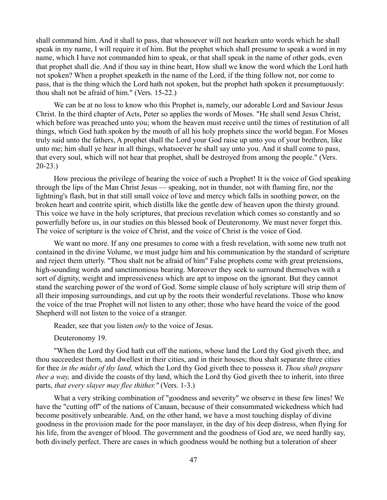shall command him. And it shall to pass, that whosoever will not hearken unto words which he shall speak in my name, I will require it of him. But the prophet which shall presume to speak a word in my name, which I have not commanded him to speak, or that shall speak in the name of other gods, even that prophet shall die. And if thou say in thine heart, How shall we know the word which the Lord hath not spoken? When a prophet speaketh in the name of the Lord, if the thing follow not, nor come to pass, that is the thing which the Lord hath not spoken, but the prophet hath spoken it presumptuously: thou shalt not be afraid of him." (Vers. 15-22.)

We can be at no loss to know who this Prophet is, namely, our adorable Lord and Saviour Jesus Christ. In the third chapter of Acts, Peter so applies the words of Moses. "He shall send Jesus Christ, which before was preached unto you; whom the heaven must receive until the times of restitution of all things, which God hath spoken by the mouth of all his holy prophets since the world began. For Moses truly said unto the fathers, A prophet shall the Lord your God raise up unto you of your brethren, like unto me; him shall ye hear in all things, whatsoever he shall say unto you. And it shall come to pass, that every soul, which will not hear that prophet, shall be destroyed from among the people." (Vers. 20-23.)

How precious the privilege of hearing the voice of such a Prophet! It is the voice of God speaking through the lips of the Man Christ Jesus — speaking, not in thunder, not with flaming fire, nor the lightning's flash, but in that still small voice of love and mercy which falls in soothing power, on the broken heart and contrite spirit, which distills like the gentle dew of heaven upon the thirsty ground. This voice we have in the holy scriptures, that precious revelation which comes so constantly and so powerfully before us, in our studies on this blessed book of Deuteronomy. We must never forget this. The voice of scripture is the voice of Christ, and the voice of Christ is the voice of God.

We want no more. If any one presumes to come with a fresh revelation, with some new truth not contained in the divine Volume, we must judge him and his communication by the standard of scripture and reject them utterly. "Thou shalt not be afraid of him" False prophets come with great pretensions, high-sounding words and sanctimonious bearing. Moreover they seek to surround themselves with a sort of dignity, weight and impressiveness which are apt to impose on the ignorant. But they cannot stand the searching power of the word of God. Some simple clause of holy scripture will strip them of all their imposing surroundings, and cut up by the roots their wonderful revelations. Those who know the voice of the true Prophet will not listen to any other; those who have heard the voice of the good Shepherd will not listen to the voice of a stranger.

Reader, see that you listen *only* to the voice of Jesus.

Deuteronomy 19.

"When the Lord thy God hath cut off the nations, whose land the Lord thy God giveth thee, and thou succeedest them, and dwellest in their cities, and in their houses; thou shalt separate three cities for thee *in the midst of thy land,* which the Lord thy God giveth thee to possess it. *Thou shalt prepare thee a way*, and divide the coasts of thy land, which the Lord thy God giveth thee to inherit, into three parts, *that every slayer may flee thither."* (Vers. 1-3.)

What a very striking combination of "goodness and severity" we observe in these few lines! We have the "cutting off" of the nations of Canaan, because of their consummated wickedness which had become positively unbearable. And, on the other hand, we have a most touching display of divine goodness in the provision made for the poor manslayer, in the day of his deep distress, when flying for his life, from the avenger of blood. The government and the goodness of God are, we need hardly say, both divinely perfect. There are cases in which goodness would be nothing but a toleration of sheer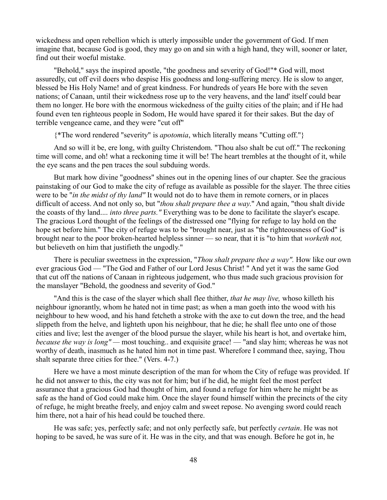wickedness and open rebellion which is utterly impossible under the government of God. If men imagine that, because God is good, they may go on and sin with a high hand, they will, sooner or later, find out their woeful mistake.

"Behold," says the inspired apostle, "the goodness and severity of God!"\* God will, most assuredly, cut off evil doers who despise His goodness and long-suffering mercy. He is slow to anger, blessed be His Holy Name! and of great kindness. For hundreds of years He bore with the seven nations; of Canaan, until their wickedness rose up to the very heavens, and the land' itself could bear them no longer. He bore with the enormous wickedness of the guilty cities of the plain; and if He had found even ten righteous people in Sodom, He would have spared it for their sakes. But the day of terrible vengeance came, and they were "cut off"

{\*The word rendered "severity" is *apotomia*, which literally means "Cutting off."}

And so will it be, ere long, with guilty Christendom. "Thou also shalt be cut off." The reckoning time will come, and oh! what a reckoning time it will be! The heart trembles at the thought of it, while the eye scans and the pen traces the soul subduing words.

But mark how divine "goodness" shines out in the opening lines of our chapter. See the gracious painstaking of our God to make the city of refuge as available as possible for the slayer. The three cities were to be "*in the midst of thy land"* It would not do to have them in remote corners, or in places difficult of access. And not only so, but "*thou shalt prepare thee a way*." And again, "thou shalt divide the coasts of thy land.... *into three parts."* Everything was to be done to facilitate the slayer's escape. The gracious Lord thought of the feelings of the distressed one "flying for refuge to lay hold on the hope set before him." The city of refuge was to be "brought near, just as "the righteousness of God" is brought near to the poor broken-hearted helpless sinner — so near, that it is "to him that *worketh not,* but believeth on him that justifieth the ungodly."

There is peculiar sweetness in the expression, "*Thou shalt prepare thee a way".* How like our own ever gracious God — "The God and Father of our Lord Jesus Christ! " And yet it was the same God that cut off the nations of Canaan in righteous judgement, who thus made such gracious provision for the manslayer "Behold, the goodness and severity of God."

"And this is the case of the slayer which shall flee thither, *that he may live,* whoso killeth his neighbour ignorantly, whom he hated not in time past; as when a man goeth into the wood with his neighbour to hew wood, and his hand fetcheth a stroke with the axe to cut down the tree, and the head slippeth from the helve, and lighteth upon his neighbour, that he die; he shall flee unto one of those cities and live; lest the avenger of the blood pursue the slayer, while his heart is hot, and overtake him, *because the way is long" —* most touching.. and exquisite grace! — "and slay him; whereas he was not worthy of death, inasmuch as he hated him not in time past. Wherefore I command thee, saying, Thou shalt separate three cities for thee." (Vers. 4-7.)

Here we have a most minute description of the man for whom the City of refuge was provided. If he did not answer to this, the city was not for him; but if he did, he might feel the most perfect assurance that a gracious God had thought of him, and found a refuge for him where he might be as safe as the hand of God could make him. Once the slayer found himself within the precincts of the city of refuge, he might breathe freely, and enjoy calm and sweet repose. No avenging sword could reach him there, not a hair of his head could be touched there.

He was safe; yes, perfectly safe; and not only perfectly safe, but perfectly *certain*. He was not hoping to be saved, he was sure of it. He was in the city, and that was enough. Before he got in, he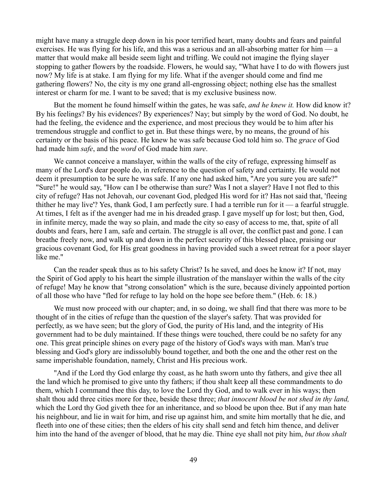might have many a struggle deep down in his poor terrified heart, many doubts and fears and painful exercises. He was flying for his life, and this was a serious and an all-absorbing matter for him — a matter that would make all beside seem light and trifling. We could not imagine the flying slayer stopping to gather flowers by the roadside. Flowers, he would say, "What have I to do with flowers just now? My life is at stake. I am flying for my life. What if the avenger should come and find me gathering flowers? No, the city is my one grand all-engrossing object; nothing else has the smallest interest or charm for me. I want to be saved; that is my exclusive business now.

But the moment he found himself within the gates, he was safe, *and he knew it.* How did know it? By his feelings? By his evidences? By experiences? Nay; but simply by the word of God. No doubt, he had the feeling, the evidence and the experience, and most precious they would be to him after his tremendous struggle and conflict to get in. But these things were, by no means, the ground of his certainty or the basis of his peace. He knew he was safe because God told him so. The *grace* of God had made him *safe*, and the *word* of God made him *sure*.

We cannot conceive a manslayer, within the walls of the city of refuge, expressing himself as many of the Lord's dear people do, in reference to the question of safety and certainty. He would not deem it presumption to be sure he was safe. If any one had asked him, "Are you sure you are safe?" "Sure!" he would say, "How can I be otherwise than sure? Was I not a slayer? Have I not fled to this city of refuge? Has not Jehovah, our covenant God, pledged His word for it? Has not said that, 'fleeing thither he may live'? Yes, thank God, I am perfectly sure. I had a terrible run for it — a fearful struggle. At times, I felt as if the avenger had me in his dreaded grasp. I gave myself up for lost; but then, God, in infinite mercy, made the way so plain, and made the city so easy of access to me, that, spite of all doubts and fears, here I am, safe and certain. The struggle is all over, the conflict past and gone. I can breathe freely now, and walk up and down in the perfect security of this blessed place, praising our gracious covenant God, for His great goodness in having provided such a sweet retreat for a poor slayer like me."

Can the reader speak thus as to his safety Christ? Is he saved, and does he know it? If not, may the Spirit of God apply to his heart the simple illustration of the manslayer within the walls of the city of refuge! May he know that "strong consolation" which is the sure, because divinely appointed portion of all those who have "fled for refuge to lay hold on the hope see before them." (Heb. 6: 18.)

We must now proceed with our chapter; and, in so doing, we shall find that there was more to be thought of in the cities of refuge than the question of the slayer's safety. That was provided for perfectly, as we have seen; but the glory of God, the purity of His land, and the integrity of His government had to be duly maintained. If these things were touched, there could be no safety for any one. This great principle shines on every page of the history of God's ways with man. Man's true blessing and God's glory are indissolubly bound together, and both the one and the other rest on the same imperishable foundation, namely, Christ and His precious work.

"And if the Lord thy God enlarge thy coast, as he hath sworn unto thy fathers, and give thee all the land which he promised to give unto thy fathers; if thou shalt keep all these commandments to do them, which I command thee this day, to love the Lord thy God, and to walk ever in his ways; then shalt thou add three cities more for thee, beside these three; *that innocent blood be not shed in thy land,* which the Lord thy God giveth thee for an inheritance, and so blood be upon thee. But if any man hate his neighbour, and lie in wait for him, and rise up against him, and smite him mortally that he die, and fleeth into one of these cities; then the elders of his city shall send and fetch him thence, and deliver him into the hand of the avenger of blood, that he may die. Thine eye shall not pity him, *but thou shalt*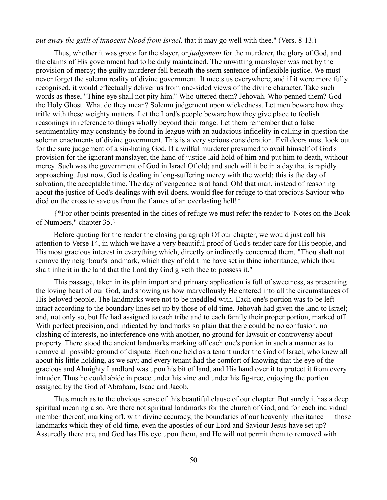#### *put away the guilt of innocent blood from Israel,* that it may go well with thee." (Vers. 8-13.)

Thus, whether it was *grace* for the slayer, or *judgement* for the murderer, the glory of God, and the claims of His government had to be duly maintained. The unwitting manslayer was met by the provision of mercy; the guilty murderer fell beneath the stern sentence of inflexible justice. We must never forget the solemn reality of divine government. It meets us everywhere; and if it were more fully recognised, it would effectually deliver us from one-sided views of the divine character. Take such words as these, "Thine eye shall not pity him." Who uttered them? Jehovah. Who penned them? God the Holy Ghost. What do they mean? Solemn judgement upon wickedness. Let men beware how they trifle with these weighty matters. Let the Lord's people beware how they give place to foolish reasonings in reference to things wholly beyond their range. Let them remember that a false sentimentality may constantly be found in league with an audacious infidelity in calling in question the solemn enactments of divine government. This is a very serious consideration. Evil doers must look out for the sure judgement of a sin-hating God, If a wilful murderer presumed to avail himself of God's provision for the ignorant manslayer, the hand of justice laid hold of him and put him to death, without mercy. Such was the government of God in Israel Of old; and such will it be in a day that is rapidly approaching. Just now, God is dealing in long-suffering mercy with the world; this is the day of salvation, the acceptable time. The day of vengeance is at hand. Oh! that man, instead of reasoning about the justice of God's dealings with evil doers, would flee for refuge to that precious Saviour who died on the cross to save us from the flames of an everlasting hell!\*

{\*For other points presented in the cities of refuge we must refer the reader to 'Notes on the Book of Numbers," chapter 35.}

Before quoting for the reader the closing paragraph Of our chapter, we would just call his attention to Verse 14, in which we have a very beautiful proof of God's tender care for His people, and His most gracious interest in everything which, directly or indirectly concerned them. "Thou shalt not remove thy neighbour's landmark, which they of old time have set in thine inheritance, which thou shalt inherit in the land that the Lord thy God giveth thee to possess it."

This passage, taken in its plain import and primary application is full of sweetness, as presenting the loving heart of our God, and showing us how marvellously He entered into all the circumstances of His beloved people. The landmarks were not to be meddled with. Each one's portion was to be left intact according to the boundary lines set up by those of old time. Jehovah had given the land to Israel; and, not only so, but He had assigned to each tribe and to each family their proper portion, marked off With perfect precision, and indicated by landmarks so plain that there could be no confusion, no clashing of interests, no interference one with another, no ground for lawsuit or controversy about property. There stood the ancient landmarks marking off each one's portion in such a manner as to remove all possible ground of dispute. Each one held as a tenant under the God of Israel, who knew all about his little holding, as we say; and every tenant had the comfort of knowing that the eye of the gracious and Almighty Landlord was upon his bit of land, and His hand over it to protect it from every intruder. Thus he could abide in peace under his vine and under his fig-tree, enjoying the portion assigned by the God of Abraham, Isaac and Jacob.

Thus much as to the obvious sense of this beautiful clause of our chapter. But surely it has a deep spiritual meaning also. Are there not spiritual landmarks for the church of God, and for each individual member thereof, marking off, with divine accuracy, the boundaries of our heavenly inheritance — those landmarks which they of old time, even the apostles of our Lord and Saviour Jesus have set up? Assuredly there are, and God has His eye upon them, and He will not permit them to removed with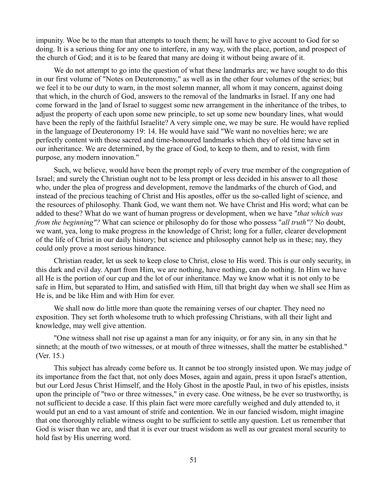impunity. Woe be to the man that attempts to touch them; he will have to give account to God for so doing. It is a serious thing for any one to interfere, in any way, with the place, portion, and prospect of the church of God; and it is to be feared that many are doing it without being aware of it.

We do not attempt to go into the question of what these landmarks are; we have sought to do this in our first volume of "Notes on Deuteronomy," as well as in the other four volumes of the series; but we feel it to be our duty to warn, in the most solemn manner, all whom it may concern, against doing that which, in the church of God, answers to the removal of the landmarks in Israel. If any one had come forward in the ]and of Israel to suggest some new arrangement in the inheritance of the tribes, to adjust the property of each upon some new principle, to set up some new boundary lines, what would have been the reply of the faithful Israelite? A very simple one, we may be sure. He would have replied in the language of Deuteronomy 19: 14. He would have said "We want no novelties here; we are perfectly content with those sacred and time-honoured landmarks which they of old time have set in our inheritance. We are determined, by the grace of God, to keep to them, and to resist, with firm purpose, any modern innovation."

Such, we believe, would have been the prompt reply of every true member of the congregation of Israel; and surely the Christian ought not to be less prompt or less decided in his answer to all those who, under the plea of progress and development, remove the landmarks of the church of God, and instead of the precious teaching of Christ and His apostles, offer us the so-called light of science, and the resources of philosophy. Thank God, we want them not. We have Christ and His word; what can be added to these? What do we want of human progress or development, when we have "*that which was from the beginning"?* What can science or philosophy do for those who possess "*all truth"?* No doubt, we want, yea, long to make progress in the knowledge of Christ; long for a fuller, clearer development of the life of Christ in our daily history; but science and philosophy cannot help us in these; nay, they could only prove a most serious hindrance.

Christian reader, let us seek to keep close to Christ, close to His word. This is our only security, in this dark and evil day. Apart from Him, we are nothing, have nothing, can do nothing. In Him we have all He is the portion of our cup and the lot of our inheritance. May we know what it is not only to be safe in Him, but separated to Him, and satisfied with Him, till that bright day when we shall see Him as He is, and be like Him and with Him for ever.

We shall now do little more than quote the remaining verses of our chapter. They need no exposition. They set forth wholesome truth to which professing Christians, with all their light and knowledge, may well give attention.

"One witness shall not rise up against a man for any iniquity, or for any sin, in any sin that he sinneth; at the mouth of two witnesses, or at mouth of three witnesses, shall the matter be established." (Ver. 15.)

This subject has already come before us. It cannot be too strongly insisted upon. We may judge of its importance from the fact that, not only does Moses, again and again, press it upon Israel's attention, but our Lord Jesus Christ Himself, and the Holy Ghost in the apostle Paul, in two of his epistles, insists upon the principle of "two or three witnesses," in every case. One witness, be he ever so trustworthy, is not sufficient to decide a case. If this plain fact were more carefully weighed and duly attended to, it would put an end to a vast amount of strife and contention. We in our fancied wisdom, might imagine that one thoroughly reliable witness ought to be sufficient to settle any question. Let us remember that God is wiser than we are, and that it is ever our truest wisdom as well as our greatest moral security to hold fast by His unerring word.